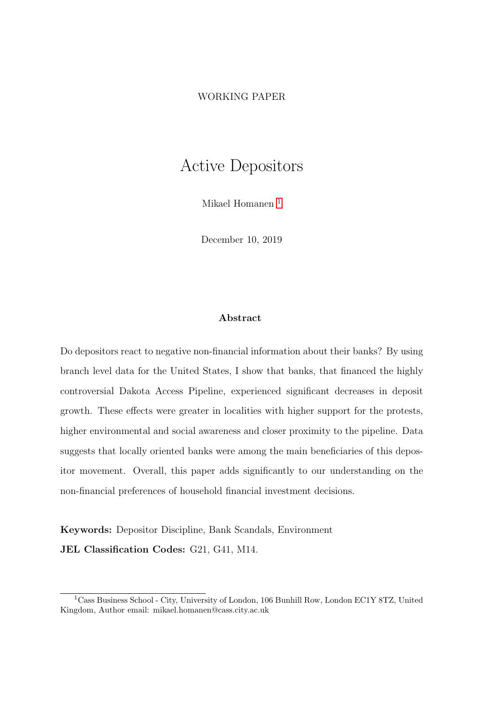## <span id="page-0-0"></span>WORKING PAPER

# Active Depositors

Mikael Homanen<sup>1</sup>

December 10, 2019

### Abstract

Do depositors react to negative non-financial information about their banks? By using branch level data for the United States, I show that banks, that financed the highly controversial Dakota Access Pipeline, experienced significant decreases in deposit growth. These effects were greater in localities with higher support for the protests, higher environmental and social awareness and closer proximity to the pipeline. Data suggests that locally oriented banks were among the main beneficiaries of this depositor movement. Overall, this paper adds significantly to our understanding on the non-financial preferences of household financial investment decisions.

Keywords: Depositor Discipline, Bank Scandals, Environment JEL Classification Codes: G21, G41, M14.

<sup>1</sup>Cass Business School - City, University of London, 106 Bunhill Row, London EC1Y 8TZ, United Kingdom, Author email: mikael.homanen@cass.city.ac.uk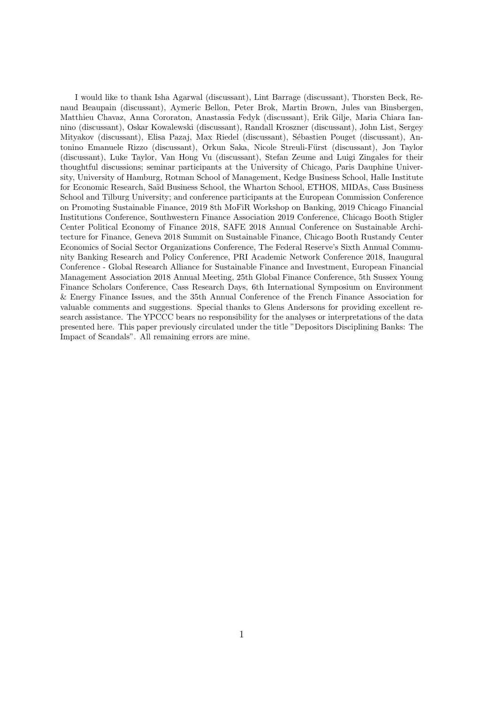I would like to thank Isha Agarwal (discussant), Lint Barrage (discussant), Thorsten Beck, Renaud Beaupain (discussant), Aymeric Bellon, Peter Brok, Martin Brown, Jules van Binsbergen, Matthieu Chavaz, Anna Cororaton, Anastassia Fedyk (discussant), Erik Gilje, Maria Chiara Iannino (discussant), Oskar Kowalewski (discussant), Randall Kroszner (discussant), John List, Sergey Mityakov (discussant), Elisa Pazaj, Max Riedel (discussant), Sébastien Pouget (discussant), Antonino Emanuele Rizzo (discussant), Orkun Saka, Nicole Streuli-Fürst (discussant), Jon Taylor (discussant), Luke Taylor, Van Hong Vu (discussant), Stefan Zeume and Luigi Zingales for their thoughtful discussions; seminar participants at the University of Chicago, Paris Dauphine University, University of Hamburg, Rotman School of Management, Kedge Business School, Halle Institute for Economic Research, Saïd Business School, the Wharton School, ETHOS, MIDAs, Cass Business School and Tilburg University; and conference participants at the European Commission Conference on Promoting Sustainable Finance, 2019 8th MoFiR Workshop on Banking, 2019 Chicago Financial Institutions Conference, Southwestern Finance Association 2019 Conference, Chicago Booth Stigler Center Political Economy of Finance 2018, SAFE 2018 Annual Conference on Sustainable Architecture for Finance, Geneva 2018 Summit on Sustainable Finance, Chicago Booth Rustandy Center Economics of Social Sector Organizations Conference, The Federal Reserve's Sixth Annual Community Banking Research and Policy Conference, PRI Academic Network Conference 2018, Inaugural Conference - Global Research Alliance for Sustainable Finance and Investment, European Financial Management Association 2018 Annual Meeting, 25th Global Finance Conference, 5th Sussex Young Finance Scholars Conference, Cass Research Days, 6th International Symposium on Environment & Energy Finance Issues, and the 35th Annual Conference of the French Finance Association for valuable comments and suggestions. Special thanks to Glens Andersons for providing excellent research assistance. The YPCCC bears no responsibility for the analyses or interpretations of the data presented here. This paper previously circulated under the title "Depositors Disciplining Banks: The Impact of Scandals". All remaining errors are mine.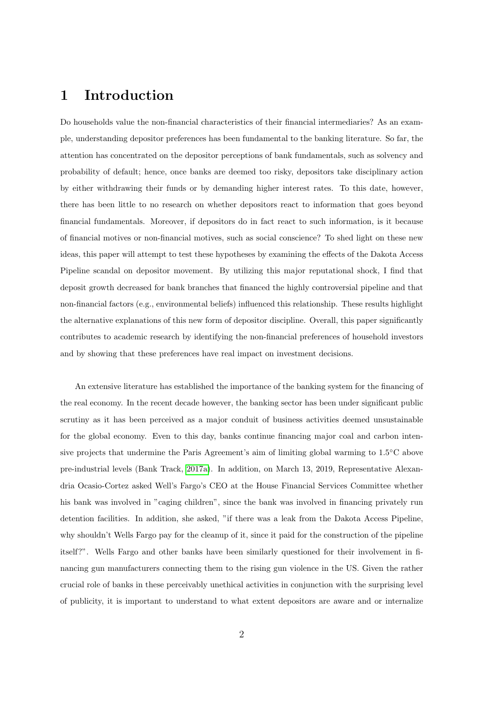## 1 Introduction

Do households value the non-financial characteristics of their financial intermediaries? As an example, understanding depositor preferences has been fundamental to the banking literature. So far, the attention has concentrated on the depositor perceptions of bank fundamentals, such as solvency and probability of default; hence, once banks are deemed too risky, depositors take disciplinary action by either withdrawing their funds or by demanding higher interest rates. To this date, however, there has been little to no research on whether depositors react to information that goes beyond financial fundamentals. Moreover, if depositors do in fact react to such information, is it because of financial motives or non-financial motives, such as social conscience? To shed light on these new ideas, this paper will attempt to test these hypotheses by examining the effects of the Dakota Access Pipeline scandal on depositor movement. By utilizing this major reputational shock, I find that deposit growth decreased for bank branches that financed the highly controversial pipeline and that non-financial factors (e.g., environmental beliefs) influenced this relationship. These results highlight the alternative explanations of this new form of depositor discipline. Overall, this paper significantly contributes to academic research by identifying the non-financial preferences of household investors and by showing that these preferences have real impact on investment decisions.

An extensive literature has established the importance of the banking system for the financing of the real economy. In the recent decade however, the banking sector has been under significant public scrutiny as it has been perceived as a major conduit of business activities deemed unsustainable for the global economy. Even to this day, banks continue financing major coal and carbon intensive projects that undermine the Paris Agreement's aim of limiting global warming to 1.5◦C above pre-industrial levels (Bank Track, [2017a\)](#page-22-0). In addition, on March 13, 2019, Representative Alexandria Ocasio-Cortez asked Well's Fargo's CEO at the House Financial Services Committee whether his bank was involved in "caging children", since the bank was involved in financing privately run detention facilities. In addition, she asked, "if there was a leak from the Dakota Access Pipeline, why shouldn't Wells Fargo pay for the cleanup of it, since it paid for the construction of the pipeline itself?". Wells Fargo and other banks have been similarly questioned for their involvement in financing gun manufacturers connecting them to the rising gun violence in the US. Given the rather crucial role of banks in these perceivably unethical activities in conjunction with the surprising level of publicity, it is important to understand to what extent depositors are aware and or internalize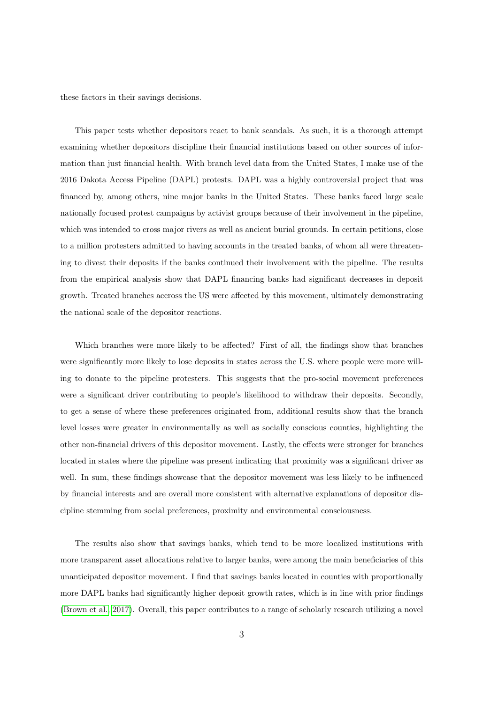these factors in their savings decisions.

This paper tests whether depositors react to bank scandals. As such, it is a thorough attempt examining whether depositors discipline their financial institutions based on other sources of information than just financial health. With branch level data from the United States, I make use of the 2016 Dakota Access Pipeline (DAPL) protests. DAPL was a highly controversial project that was financed by, among others, nine major banks in the United States. These banks faced large scale nationally focused protest campaigns by activist groups because of their involvement in the pipeline, which was intended to cross major rivers as well as ancient burial grounds. In certain petitions, close to a million protesters admitted to having accounts in the treated banks, of whom all were threatening to divest their deposits if the banks continued their involvement with the pipeline. The results from the empirical analysis show that DAPL financing banks had significant decreases in deposit growth. Treated branches accross the US were affected by this movement, ultimately demonstrating the national scale of the depositor reactions.

Which branches were more likely to be affected? First of all, the findings show that branches were significantly more likely to lose deposits in states across the U.S. where people were more willing to donate to the pipeline protesters. This suggests that the pro-social movement preferences were a significant driver contributing to people's likelihood to withdraw their deposits. Secondly, to get a sense of where these preferences originated from, additional results show that the branch level losses were greater in environmentally as well as socially conscious counties, highlighting the other non-financial drivers of this depositor movement. Lastly, the effects were stronger for branches located in states where the pipeline was present indicating that proximity was a significant driver as well. In sum, these findings showcase that the depositor movement was less likely to be influenced by financial interests and are overall more consistent with alternative explanations of depositor discipline stemming from social preferences, proximity and environmental consciousness.

The results also show that savings banks, which tend to be more localized institutions with more transparent asset allocations relative to larger banks, were among the main beneficiaries of this unanticipated depositor movement. I find that savings banks located in counties with proportionally more DAPL banks had significantly higher deposit growth rates, which is in line with prior findings [\(Brown et al., 2017\)](#page-22-1). Overall, this paper contributes to a range of scholarly research utilizing a novel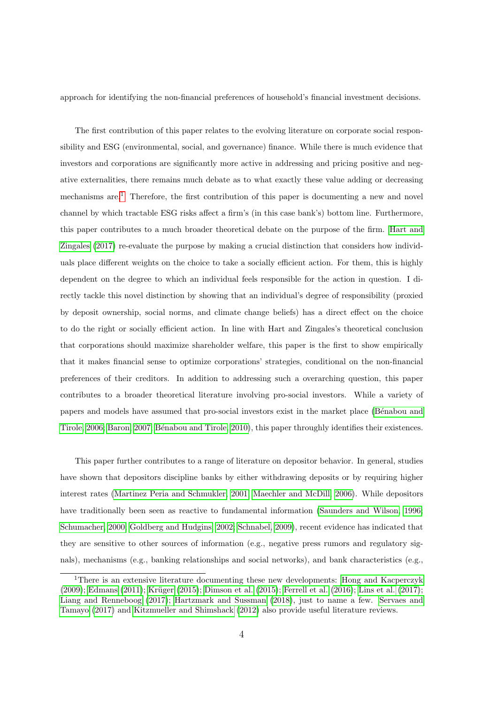approach for identifying the non-financial preferences of household's financial investment decisions.

The first contribution of this paper relates to the evolving literature on corporate social responsibility and ESG (environmental, social, and governance) finance. While there is much evidence that investors and corporations are significantly more active in addressing and pricing positive and negative externalities, there remains much debate as to what exactly these value adding or decreasing mechanisms are.[1](#page-0-0) Therefore, the first contribution of this paper is documenting a new and novel channel by which tractable ESG risks affect a firm's (in this case bank's) bottom line. Furthermore, this paper contributes to a much broader theoretical debate on the purpose of the firm. [Hart and](#page-23-0) [Zingales](#page-23-0) [\(2017\)](#page-23-0) re-evaluate the purpose by making a crucial distinction that considers how individuals place different weights on the choice to take a socially efficient action. For them, this is highly dependent on the degree to which an individual feels responsible for the action in question. I directly tackle this novel distinction by showing that an individual's degree of responsibility (proxied by deposit ownership, social norms, and climate change beliefs) has a direct effect on the choice to do the right or socially efficient action. In line with Hart and Zingales's theoretical conclusion that corporations should maximize shareholder welfare, this paper is the first to show empirically that it makes financial sense to optimize corporations' strategies, conditional on the non-financial preferences of their creditors. In addition to addressing such a overarching question, this paper contributes to a broader theoretical literature involving pro-social investors. While a variety of papers and models have assumed that pro-social investors exist in the market place (Bénabou and [Tirole, 2006;](#page-22-2) [Baron, 2007;](#page-22-3) Bénabou and Tirole, 2010), this paper throughly identifies their existences.

This paper further contributes to a range of literature on depositor behavior. In general, studies have shown that depositors discipline banks by either withdrawing deposits or by requiring higher interest rates [\(Martinez Peria and Schmukler, 2001;](#page-24-0) [Maechler and McDill, 2006\)](#page-24-1). While depositors have traditionally been seen as reactive to fundamental information [\(Saunders and Wilson, 1996;](#page-24-2) [Schumacher, 2000;](#page-24-3) [Goldberg and Hudgins, 2002;](#page-23-1) [Schnabel, 2009\)](#page-24-4), recent evidence has indicated that they are sensitive to other sources of information (e.g., negative press rumors and regulatory signals), mechanisms (e.g., banking relationships and social networks), and bank characteristics (e.g.,

<sup>&</sup>lt;sup>1</sup>There is an extensive literature documenting these new developments: [Hong and Kacperczyk](#page-23-2)  $(2009)$ ; [Edmans](#page-22-5)  $(2011)$ ; Krüger  $(2015)$ ; [Dimson et al.](#page-22-6)  $(2015)$ ; [Ferrell et al.](#page-22-7)  $(2016)$ ; [Lins et al.](#page-24-6)  $(2017)$ ; [Liang and Renneboog](#page-24-7) [\(2017\)](#page-24-7); [Hartzmark and Sussman](#page-23-3) [\(2018\)](#page-23-3), just to name a few. [Servaes and](#page-24-8) [Tamayo](#page-24-8) [\(2017\)](#page-24-8) and [Kitzmueller and Shimshack](#page-23-4) [\(2012\)](#page-23-4) also provide useful literature reviews.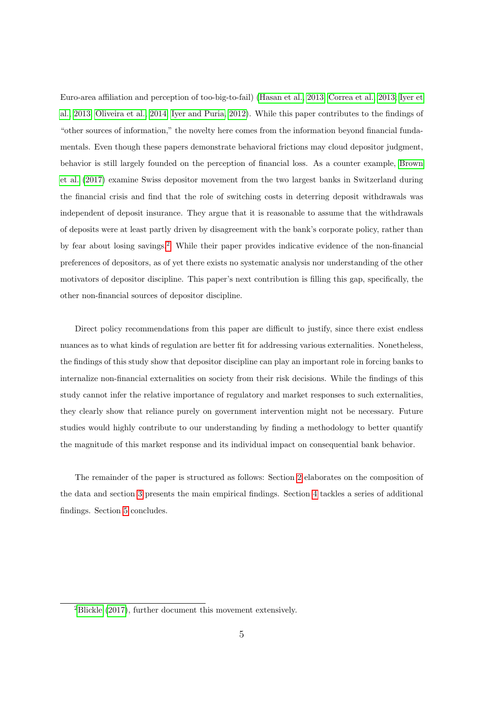Euro-area affiliation and perception of too-big-to-fail) [\(Hasan et al., 2013;](#page-23-5) [Correa et al., 2013;](#page-22-8) [Iyer et](#page-23-6) [al., 2013;](#page-23-6) [Oliveira et al., 2014;](#page-24-9) [Iyer and Puria, 2012\)](#page-23-7). While this paper contributes to the findings of "other sources of information," the novelty here comes from the information beyond financial fundamentals. Even though these papers demonstrate behavioral frictions may cloud depositor judgment, behavior is still largely founded on the perception of financial loss. As a counter example, [Brown](#page-22-1) [et al.](#page-22-1) [\(2017\)](#page-22-1) examine Swiss depositor movement from the two largest banks in Switzerland during the financial crisis and find that the role of switching costs in deterring deposit withdrawals was independent of deposit insurance. They argue that it is reasonable to assume that the withdrawals of deposits were at least partly driven by disagreement with the bank's corporate policy, rather than by fear about losing savings.[2](#page-0-0) While their paper provides indicative evidence of the non-financial preferences of depositors, as of yet there exists no systematic analysis nor understanding of the other motivators of depositor discipline. This paper's next contribution is filling this gap, specifically, the other non-financial sources of depositor discipline.

Direct policy recommendations from this paper are difficult to justify, since there exist endless nuances as to what kinds of regulation are better fit for addressing various externalities. Nonetheless, the findings of this study show that depositor discipline can play an important role in forcing banks to internalize non-financial externalities on society from their risk decisions. While the findings of this study cannot infer the relative importance of regulatory and market responses to such externalities, they clearly show that reliance purely on government intervention might not be necessary. Future studies would highly contribute to our understanding by finding a methodology to better quantify the magnitude of this market response and its individual impact on consequential bank behavior.

The remainder of the paper is structured as follows: Section [2](#page-6-0) elaborates on the composition of the data and section [3](#page-9-0) presents the main empirical findings. Section [4](#page-16-0) tackles a series of additional findings. Section [5](#page-21-0) concludes.

<sup>2</sup>[Blickle](#page-22-9) [\(2017\)](#page-22-9), further document this movement extensively.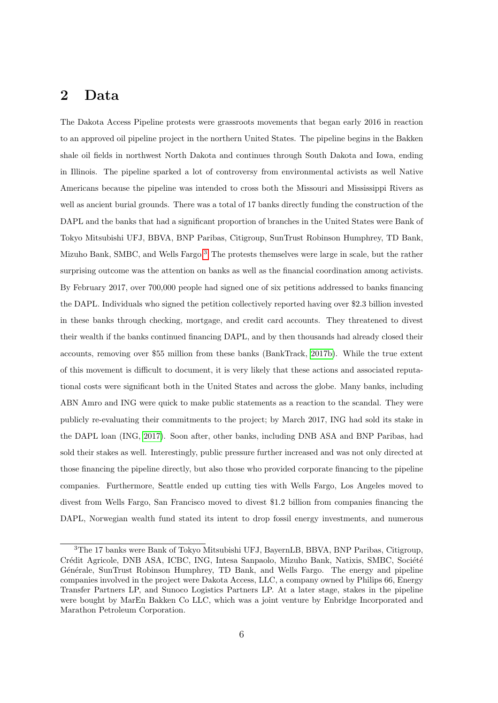## <span id="page-6-0"></span>2 Data

The Dakota Access Pipeline protests were grassroots movements that began early 2016 in reaction to an approved oil pipeline project in the northern United States. The pipeline begins in the Bakken shale oil fields in northwest North Dakota and continues through South Dakota and Iowa, ending in Illinois. The pipeline sparked a lot of controversy from environmental activists as well Native Americans because the pipeline was intended to cross both the Missouri and Mississippi Rivers as well as ancient burial grounds. There was a total of 17 banks directly funding the construction of the DAPL and the banks that had a significant proportion of branches in the United States were Bank of Tokyo Mitsubishi UFJ, BBVA, BNP Paribas, Citigroup, SunTrust Robinson Humphrey, TD Bank, Mizuho Bank, SMBC, and Wells Fargo.[3](#page-0-0) The protests themselves were large in scale, but the rather surprising outcome was the attention on banks as well as the financial coordination among activists. By February 2017, over 700,000 people had signed one of six petitions addressed to banks financing the DAPL. Individuals who signed the petition collectively reported having over \$2.3 billion invested in these banks through checking, mortgage, and credit card accounts. They threatened to divest their wealth if the banks continued financing DAPL, and by then thousands had already closed their accounts, removing over \$55 million from these banks (BankTrack, [2017b\)](#page-22-10). While the true extent of this movement is difficult to document, it is very likely that these actions and associated reputational costs were significant both in the United States and across the globe. Many banks, including ABN Amro and ING were quick to make public statements as a reaction to the scandal. They were publicly re-evaluating their commitments to the project; by March 2017, ING had sold its stake in the DAPL loan (ING, [2017\)](#page-23-8). Soon after, other banks, including DNB ASA and BNP Paribas, had sold their stakes as well. Interestingly, public pressure further increased and was not only directed at those financing the pipeline directly, but also those who provided corporate financing to the pipeline companies. Furthermore, Seattle ended up cutting ties with Wells Fargo, Los Angeles moved to divest from Wells Fargo, San Francisco moved to divest \$1.2 billion from companies financing the DAPL, Norwegian wealth fund stated its intent to drop fossil energy investments, and numerous

<sup>3</sup>The 17 banks were Bank of Tokyo Mitsubishi UFJ, BayernLB, BBVA, BNP Paribas, Citigroup, Crédit Agricole, DNB ASA, ICBC, ING, Intesa Sanpaolo, Mizuho Bank, Natixis, SMBC, Société Générale, SunTrust Robinson Humphrey, TD Bank, and Wells Fargo. The energy and pipeline companies involved in the project were Dakota Access, LLC, a company owned by Philips 66, Energy Transfer Partners LP, and Sunoco Logistics Partners LP. At a later stage, stakes in the pipeline were bought by MarEn Bakken Co LLC, which was a joint venture by Enbridge Incorporated and Marathon Petroleum Corporation.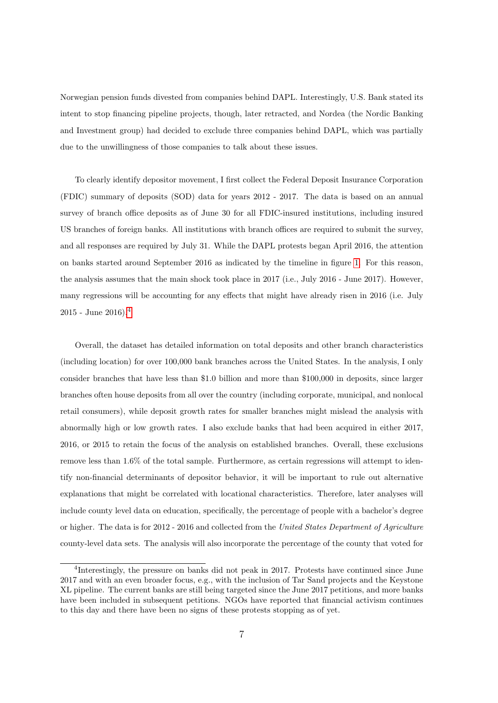Norwegian pension funds divested from companies behind DAPL. Interestingly, U.S. Bank stated its intent to stop financing pipeline projects, though, later retracted, and Nordea (the Nordic Banking and Investment group) had decided to exclude three companies behind DAPL, which was partially due to the unwillingness of those companies to talk about these issues.

To clearly identify depositor movement, I first collect the Federal Deposit Insurance Corporation (FDIC) summary of deposits (SOD) data for years 2012 - 2017. The data is based on an annual survey of branch office deposits as of June 30 for all FDIC-insured institutions, including insured US branches of foreign banks. All institutions with branch offices are required to submit the survey, and all responses are required by July 31. While the DAPL protests began April 2016, the attention on banks started around September 2016 as indicated by the timeline in figure [1.](#page-8-0) For this reason, the analysis assumes that the main shock took place in 2017 (i.e., July 2016 - June 2017). However, many regressions will be accounting for any effects that might have already risen in 2016 (i.e. July 2015 - June 2016).[4](#page-0-0)

Overall, the dataset has detailed information on total deposits and other branch characteristics (including location) for over 100,000 bank branches across the United States. In the analysis, I only consider branches that have less than \$1.0 billion and more than \$100,000 in deposits, since larger branches often house deposits from all over the country (including corporate, municipal, and nonlocal retail consumers), while deposit growth rates for smaller branches might mislead the analysis with abnormally high or low growth rates. I also exclude banks that had been acquired in either 2017, 2016, or 2015 to retain the focus of the analysis on established branches. Overall, these exclusions remove less than 1.6% of the total sample. Furthermore, as certain regressions will attempt to identify non-financial determinants of depositor behavior, it will be important to rule out alternative explanations that might be correlated with locational characteristics. Therefore, later analyses will include county level data on education, specifically, the percentage of people with a bachelor's degree or higher. The data is for 2012 - 2016 and collected from the United States Department of Agriculture county-level data sets. The analysis will also incorporate the percentage of the county that voted for

<sup>&</sup>lt;sup>4</sup>Interestingly, the pressure on banks did not peak in 2017. Protests have continued since June 2017 and with an even broader focus, e.g., with the inclusion of Tar Sand projects and the Keystone XL pipeline. The current banks are still being targeted since the June 2017 petitions, and more banks have been included in subsequent petitions. NGOs have reported that financial activism continues to this day and there have been no signs of these protests stopping as of yet.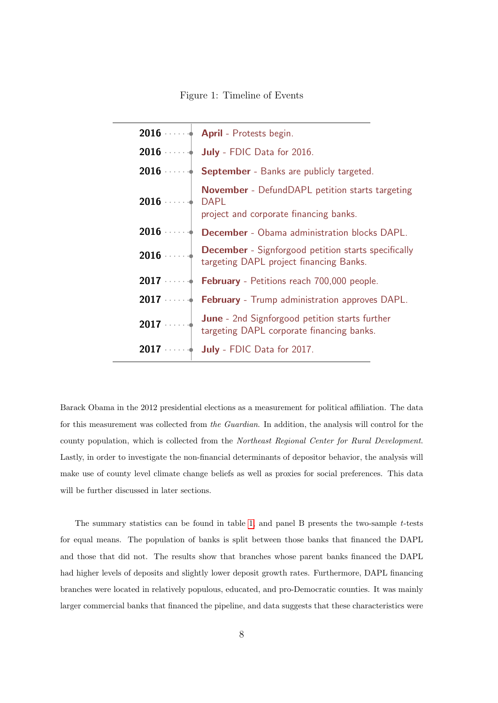Figure 1: Timeline of Events

<span id="page-8-0"></span>

|                      | 2016 $\cdots$ <b>April</b> - Protests begin.                                                          |
|----------------------|-------------------------------------------------------------------------------------------------------|
|                      | 2016 $\cdots$ July - FDIC Data for 2016.                                                              |
|                      | 2016 $\cdots$ <b>September</b> - Banks are publicly targeted.                                         |
| $2016$ $\cdots$ DAPL | <b>November</b> - DefundDAPL petition starts targeting<br>project and corporate financing banks.      |
| $2016$               | <b>December</b> - Obama administration blocks DAPL.                                                   |
| 2016                 | <b>December</b> - Signforgood petition starts specifically<br>targeting DAPL project financing Banks. |
|                      | <b>2017</b> $\cdots$ <b>February</b> - Petitions reach 700,000 people.                                |
|                      | 2017 $\cdots$ February - Trump administration approves DAPL.                                          |
| $2017$               | June - 2nd Signforgood petition starts further<br>targeting DAPL corporate financing banks.           |
|                      | 2017 $\cdots$ July - FDIC Data for 2017.                                                              |

Barack Obama in the 2012 presidential elections as a measurement for political affiliation. The data for this measurement was collected from the Guardian. In addition, the analysis will control for the county population, which is collected from the Northeast Regional Center for Rural Development. Lastly, in order to investigate the non-financial determinants of depositor behavior, the analysis will make use of county level climate change beliefs as well as proxies for social preferences. This data will be further discussed in later sections.

The summary statistics can be found in table [1,](#page-27-0) and panel B presents the two-sample  $t$ -tests for equal means. The population of banks is split between those banks that financed the DAPL and those that did not. The results show that branches whose parent banks financed the DAPL had higher levels of deposits and slightly lower deposit growth rates. Furthermore, DAPL financing branches were located in relatively populous, educated, and pro-Democratic counties. It was mainly larger commercial banks that financed the pipeline, and data suggests that these characteristics were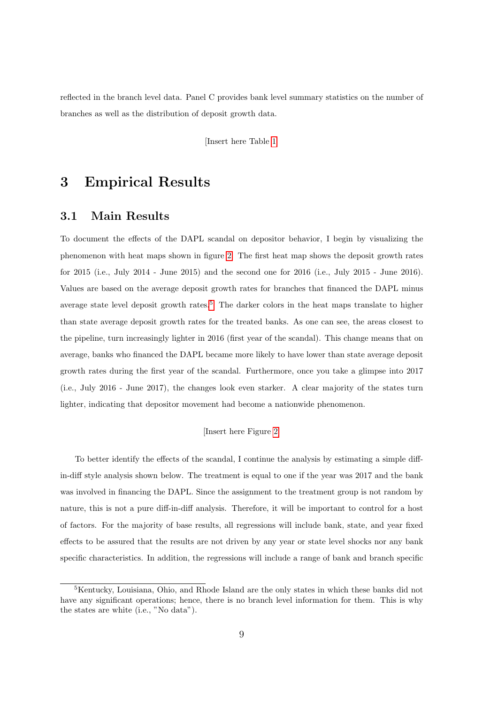reflected in the branch level data. Panel C provides bank level summary statistics on the number of branches as well as the distribution of deposit growth data.

[Insert here Table [1\]](#page-27-0)

## <span id="page-9-0"></span>3 Empirical Results

## 3.1 Main Results

To document the effects of the DAPL scandal on depositor behavior, I begin by visualizing the phenomenon with heat maps shown in figure [2.](#page-26-0) The first heat map shows the deposit growth rates for 2015 (i.e., July 2014 - June 2015) and the second one for 2016 (i.e., July 2015 - June 2016). Values are based on the average deposit growth rates for branches that financed the DAPL minus average state level deposit growth rates.<sup>[5](#page-0-0)</sup> The darker colors in the heat maps translate to higher than state average deposit growth rates for the treated banks. As one can see, the areas closest to the pipeline, turn increasingly lighter in 2016 (first year of the scandal). This change means that on average, banks who financed the DAPL became more likely to have lower than state average deposit growth rates during the first year of the scandal. Furthermore, once you take a glimpse into 2017 (i.e., July 2016 - June 2017), the changes look even starker. A clear majority of the states turn lighter, indicating that depositor movement had become a nationwide phenomenon.

### [Insert here Figure [2\]](#page-26-0)

To better identify the effects of the scandal, I continue the analysis by estimating a simple diffin-diff style analysis shown below. The treatment is equal to one if the year was 2017 and the bank was involved in financing the DAPL. Since the assignment to the treatment group is not random by nature, this is not a pure diff-in-diff analysis. Therefore, it will be important to control for a host of factors. For the majority of base results, all regressions will include bank, state, and year fixed effects to be assured that the results are not driven by any year or state level shocks nor any bank specific characteristics. In addition, the regressions will include a range of bank and branch specific

<sup>5</sup>Kentucky, Louisiana, Ohio, and Rhode Island are the only states in which these banks did not have any significant operations; hence, there is no branch level information for them. This is why the states are white (i.e., "No data").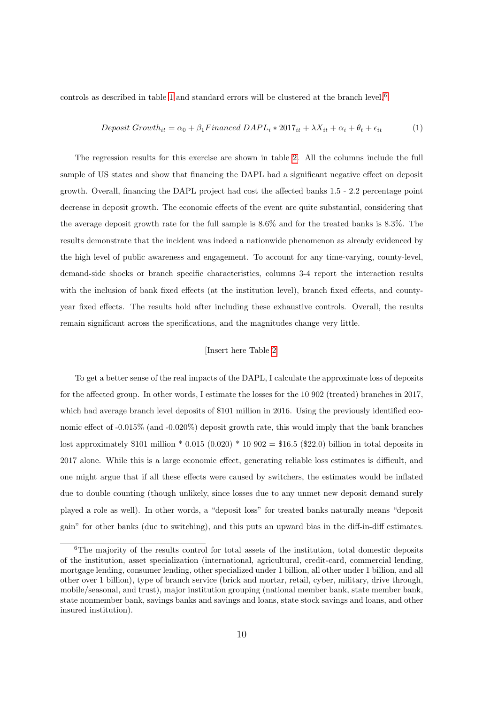controls as described in table [1](#page-27-0) and standard errors will be clustered at the branch level.<sup>[6](#page-0-0)</sup>

$$
Deposit Growth_{it} = \alpha_0 + \beta_1 Finance \, DAPL_i * 2017_{it} + \lambda X_{it} + \alpha_i + \theta_t + \epsilon_{it}
$$
\n<sup>(1)</sup>

The regression results for this exercise are shown in table [2.](#page-28-0) All the columns include the full sample of US states and show that financing the DAPL had a significant negative effect on deposit growth. Overall, financing the DAPL project had cost the affected banks 1.5 - 2.2 percentage point decrease in deposit growth. The economic effects of the event are quite substantial, considering that the average deposit growth rate for the full sample is 8.6% and for the treated banks is 8.3%. The results demonstrate that the incident was indeed a nationwide phenomenon as already evidenced by the high level of public awareness and engagement. To account for any time-varying, county-level, demand-side shocks or branch specific characteristics, columns 3-4 report the interaction results with the inclusion of bank fixed effects (at the institution level), branch fixed effects, and countyyear fixed effects. The results hold after including these exhaustive controls. Overall, the results remain significant across the specifications, and the magnitudes change very little.

#### [Insert here Table [2\]](#page-28-0)

To get a better sense of the real impacts of the DAPL, I calculate the approximate loss of deposits for the affected group. In other words, I estimate the losses for the 10 902 (treated) branches in 2017, which had average branch level deposits of \$101 million in 2016. Using the previously identified economic effect of -0.015% (and -0.020%) deposit growth rate, this would imply that the bank branches lost approximately \$101 million \* 0.015 (0.020) \* 10 902 = \$16.5 (\$22.0) billion in total deposits in 2017 alone. While this is a large economic effect, generating reliable loss estimates is difficult, and one might argue that if all these effects were caused by switchers, the estimates would be inflated due to double counting (though unlikely, since losses due to any unmet new deposit demand surely played a role as well). In other words, a "deposit loss" for treated banks naturally means "deposit gain" for other banks (due to switching), and this puts an upward bias in the diff-in-diff estimates.

<sup>&</sup>lt;sup>6</sup>The majority of the results control for total assets of the institution, total domestic deposits of the institution, asset specialization (international, agricultural, credit-card, commercial lending, mortgage lending, consumer lending, other specialized under 1 billion, all other under 1 billion, and all other over 1 billion), type of branch service (brick and mortar, retail, cyber, military, drive through, mobile/seasonal, and trust), major institution grouping (national member bank, state member bank, state nonmember bank, savings banks and savings and loans, state stock savings and loans, and other insured institution).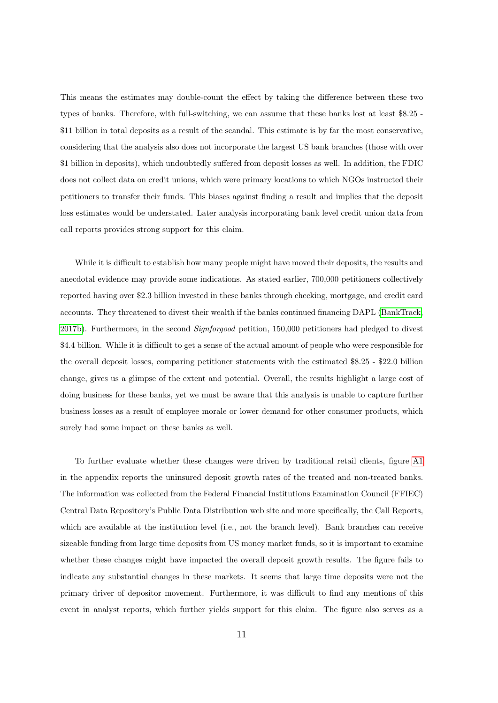This means the estimates may double-count the effect by taking the difference between these two types of banks. Therefore, with full-switching, we can assume that these banks lost at least \$8.25 - \$11 billion in total deposits as a result of the scandal. This estimate is by far the most conservative, considering that the analysis also does not incorporate the largest US bank branches (those with over \$1 billion in deposits), which undoubtedly suffered from deposit losses as well. In addition, the FDIC does not collect data on credit unions, which were primary locations to which NGOs instructed their petitioners to transfer their funds. This biases against finding a result and implies that the deposit loss estimates would be understated. Later analysis incorporating bank level credit union data from call reports provides strong support for this claim.

While it is difficult to establish how many people might have moved their deposits, the results and anecdotal evidence may provide some indications. As stated earlier, 700,000 petitioners collectively reported having over \$2.3 billion invested in these banks through checking, mortgage, and credit card accounts. They threatened to divest their wealth if the banks continued financing DAPL [\(BankTrack,](#page-22-10) [2017b\)](#page-22-10). Furthermore, in the second Signforgood petition, 150,000 petitioners had pledged to divest \$4.4 billion. While it is difficult to get a sense of the actual amount of people who were responsible for the overall deposit losses, comparing petitioner statements with the estimated \$8.25 - \$22.0 billion change, gives us a glimpse of the extent and potential. Overall, the results highlight a large cost of doing business for these banks, yet we must be aware that this analysis is unable to capture further business losses as a result of employee morale or lower demand for other consumer products, which surely had some impact on these banks as well.

To further evaluate whether these changes were driven by traditional retail clients, figure [A1](#page-37-0) in the appendix reports the uninsured deposit growth rates of the treated and non-treated banks. The information was collected from the Federal Financial Institutions Examination Council (FFIEC) Central Data Repository's Public Data Distribution web site and more specifically, the Call Reports, which are available at the institution level (i.e., not the branch level). Bank branches can receive sizeable funding from large time deposits from US money market funds, so it is important to examine whether these changes might have impacted the overall deposit growth results. The figure fails to indicate any substantial changes in these markets. It seems that large time deposits were not the primary driver of depositor movement. Furthermore, it was difficult to find any mentions of this event in analyst reports, which further yields support for this claim. The figure also serves as a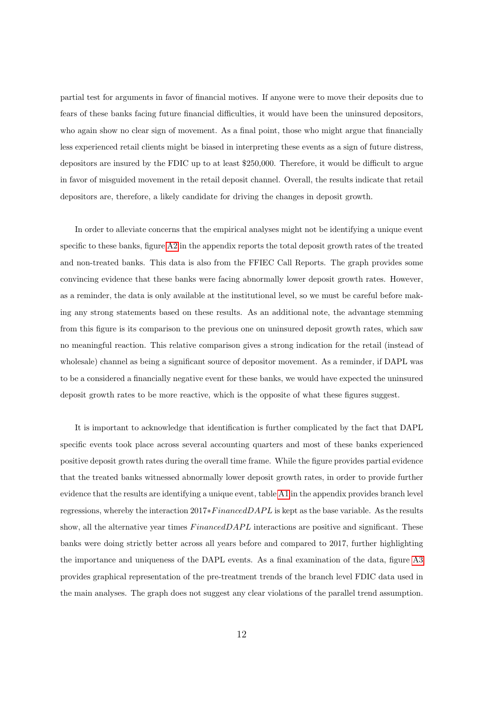partial test for arguments in favor of financial motives. If anyone were to move their deposits due to fears of these banks facing future financial difficulties, it would have been the uninsured depositors, who again show no clear sign of movement. As a final point, those who might argue that financially less experienced retail clients might be biased in interpreting these events as a sign of future distress, depositors are insured by the FDIC up to at least \$250,000. Therefore, it would be difficult to argue in favor of misguided movement in the retail deposit channel. Overall, the results indicate that retail depositors are, therefore, a likely candidate for driving the changes in deposit growth.

In order to alleviate concerns that the empirical analyses might not be identifying a unique event specific to these banks, figure [A2](#page-38-0) in the appendix reports the total deposit growth rates of the treated and non-treated banks. This data is also from the FFIEC Call Reports. The graph provides some convincing evidence that these banks were facing abnormally lower deposit growth rates. However, as a reminder, the data is only available at the institutional level, so we must be careful before making any strong statements based on these results. As an additional note, the advantage stemming from this figure is its comparison to the previous one on uninsured deposit growth rates, which saw no meaningful reaction. This relative comparison gives a strong indication for the retail (instead of wholesale) channel as being a significant source of depositor movement. As a reminder, if DAPL was to be a considered a financially negative event for these banks, we would have expected the uninsured deposit growth rates to be more reactive, which is the opposite of what these figures suggest.

It is important to acknowledge that identification is further complicated by the fact that DAPL specific events took place across several accounting quarters and most of these banks experienced positive deposit growth rates during the overall time frame. While the figure provides partial evidence that the treated banks witnessed abnormally lower deposit growth rates, in order to provide further evidence that the results are identifying a unique event, table [A1](#page-41-0) in the appendix provides branch level regressions, whereby the interaction  $2017*FinancedDAPL$  is kept as the base variable. As the results show, all the alternative year times  $Financial DAPL$  interactions are positive and significant. These banks were doing strictly better across all years before and compared to 2017, further highlighting the importance and uniqueness of the DAPL events. As a final examination of the data, figure [A3](#page-39-0) provides graphical representation of the pre-treatment trends of the branch level FDIC data used in the main analyses. The graph does not suggest any clear violations of the parallel trend assumption.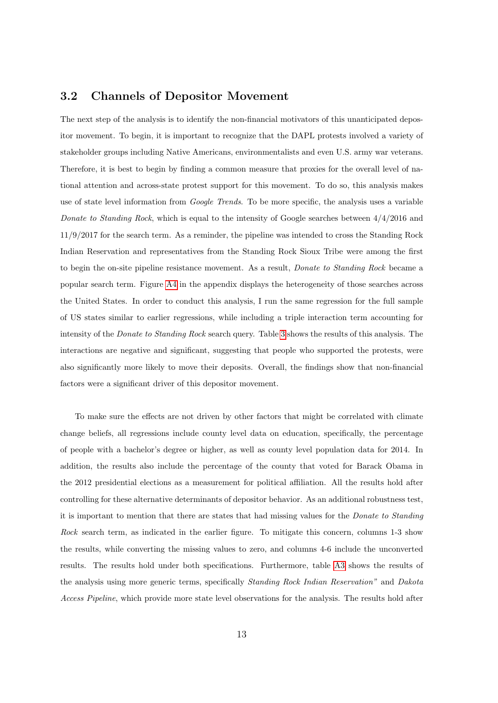### 3.2 Channels of Depositor Movement

The next step of the analysis is to identify the non-financial motivators of this unanticipated depositor movement. To begin, it is important to recognize that the DAPL protests involved a variety of stakeholder groups including Native Americans, environmentalists and even U.S. army war veterans. Therefore, it is best to begin by finding a common measure that proxies for the overall level of national attention and across-state protest support for this movement. To do so, this analysis makes use of state level information from *Google Trends*. To be more specific, the analysis uses a variable Donate to Standing Rock, which is equal to the intensity of Google searches between  $4/4/2016$  and 11/9/2017 for the search term. As a reminder, the pipeline was intended to cross the Standing Rock Indian Reservation and representatives from the Standing Rock Sioux Tribe were among the first to begin the on-site pipeline resistance movement. As a result, Donate to Standing Rock became a popular search term. Figure [A4](#page-40-0) in the appendix displays the heterogeneity of those searches across the United States. In order to conduct this analysis, I run the same regression for the full sample of US states similar to earlier regressions, while including a triple interaction term accounting for intensity of the *Donate to Standing Rock* search query. Table [3](#page-29-0) shows the results of this analysis. The interactions are negative and significant, suggesting that people who supported the protests, were also significantly more likely to move their deposits. Overall, the findings show that non-financial factors were a significant driver of this depositor movement.

To make sure the effects are not driven by other factors that might be correlated with climate change beliefs, all regressions include county level data on education, specifically, the percentage of people with a bachelor's degree or higher, as well as county level population data for 2014. In addition, the results also include the percentage of the county that voted for Barack Obama in the 2012 presidential elections as a measurement for political affiliation. All the results hold after controlling for these alternative determinants of depositor behavior. As an additional robustness test, it is important to mention that there are states that had missing values for the Donate to Standing Rock search term, as indicated in the earlier figure. To mitigate this concern, columns 1-3 show the results, while converting the missing values to zero, and columns 4-6 include the unconverted results. The results hold under both specifications. Furthermore, table [A3](#page-43-0) shows the results of the analysis using more generic terms, specifically Standing Rock Indian Reservation" and Dakota Access Pipeline, which provide more state level observations for the analysis. The results hold after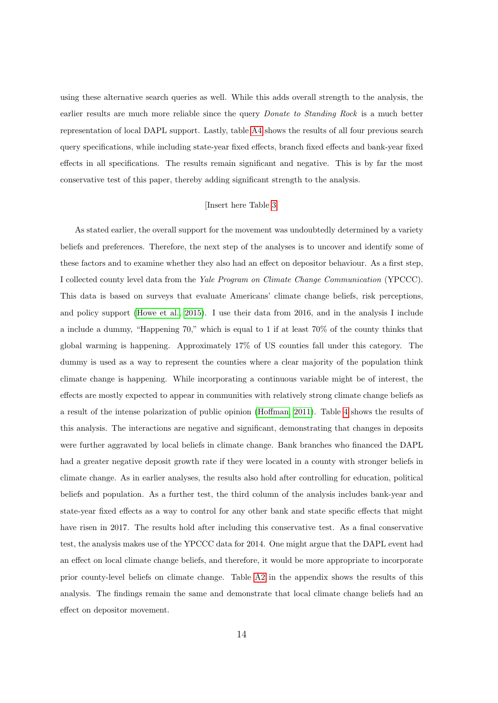using these alternative search queries as well. While this adds overall strength to the analysis, the earlier results are much more reliable since the query *Donate to Standing Rock* is a much better representation of local DAPL support. Lastly, table [A4](#page-44-0) shows the results of all four previous search query specifications, while including state-year fixed effects, branch fixed effects and bank-year fixed effects in all specifications. The results remain significant and negative. This is by far the most conservative test of this paper, thereby adding significant strength to the analysis.

#### [Insert here Table [3\]](#page-29-0)

As stated earlier, the overall support for the movement was undoubtedly determined by a variety beliefs and preferences. Therefore, the next step of the analyses is to uncover and identify some of these factors and to examine whether they also had an effect on depositor behaviour. As a first step, I collected county level data from the Yale Program on Climate Change Communication (YPCCC). This data is based on surveys that evaluate Americans' climate change beliefs, risk perceptions, and policy support [\(Howe et al., 2015\)](#page-23-9). I use their data from 2016, and in the analysis I include a include a dummy, "Happening 70," which is equal to 1 if at least 70% of the county thinks that global warming is happening. Approximately 17% of US counties fall under this category. The dummy is used as a way to represent the counties where a clear majority of the population think climate change is happening. While incorporating a continuous variable might be of interest, the effects are mostly expected to appear in communities with relatively strong climate change beliefs as a result of the intense polarization of public opinion [\(Hoffman, 2011\)](#page-23-10). Table [4](#page-30-0) shows the results of this analysis. The interactions are negative and significant, demonstrating that changes in deposits were further aggravated by local beliefs in climate change. Bank branches who financed the DAPL had a greater negative deposit growth rate if they were located in a county with stronger beliefs in climate change. As in earlier analyses, the results also hold after controlling for education, political beliefs and population. As a further test, the third column of the analysis includes bank-year and state-year fixed effects as a way to control for any other bank and state specific effects that might have risen in 2017. The results hold after including this conservative test. As a final conservative test, the analysis makes use of the YPCCC data for 2014. One might argue that the DAPL event had an effect on local climate change beliefs, and therefore, it would be more appropriate to incorporate prior county-level beliefs on climate change. Table [A2](#page-42-0) in the appendix shows the results of this analysis. The findings remain the same and demonstrate that local climate change beliefs had an effect on depositor movement.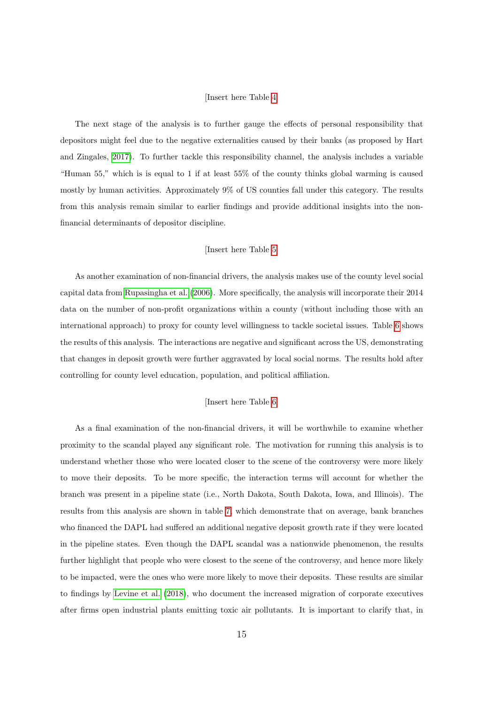#### [Insert here Table [4\]](#page-30-0)

The next stage of the analysis is to further gauge the effects of personal responsibility that depositors might feel due to the negative externalities caused by their banks (as proposed by Hart and Zingales, [2017\)](#page-23-0). To further tackle this responsibility channel, the analysis includes a variable "Human 55," which is is equal to 1 if at least 55% of the county thinks global warming is caused mostly by human activities. Approximately 9% of US counties fall under this category. The results from this analysis remain similar to earlier findings and provide additional insights into the nonfinancial determinants of depositor discipline.

#### [Insert here Table [5\]](#page-31-0)

As another examination of non-financial drivers, the analysis makes use of the county level social capital data from [Rupasingha et al.](#page-24-10) [\(2006\)](#page-24-10). More specifically, the analysis will incorporate their 2014 data on the number of non-profit organizations within a county (without including those with an international approach) to proxy for county level willingness to tackle societal issues. Table [6](#page-32-0) shows the results of this analysis. The interactions are negative and significant across the US, demonstrating that changes in deposit growth were further aggravated by local social norms. The results hold after controlling for county level education, population, and political affiliation.

#### [Insert here Table [6\]](#page-32-0)

As a final examination of the non-financial drivers, it will be worthwhile to examine whether proximity to the scandal played any significant role. The motivation for running this analysis is to understand whether those who were located closer to the scene of the controversy were more likely to move their deposits. To be more specific, the interaction terms will account for whether the branch was present in a pipeline state (i.e., North Dakota, South Dakota, Iowa, and Illinois). The results from this analysis are shown in table [7,](#page-33-0) which demonstrate that on average, bank branches who financed the DAPL had suffered an additional negative deposit growth rate if they were located in the pipeline states. Even though the DAPL scandal was a nationwide phenomenon, the results further highlight that people who were closest to the scene of the controversy, and hence more likely to be impacted, were the ones who were more likely to move their deposits. These results are similar to findings by [Levine et al.](#page-24-11) [\(2018\)](#page-24-11), who document the increased migration of corporate executives after firms open industrial plants emitting toxic air pollutants. It is important to clarify that, in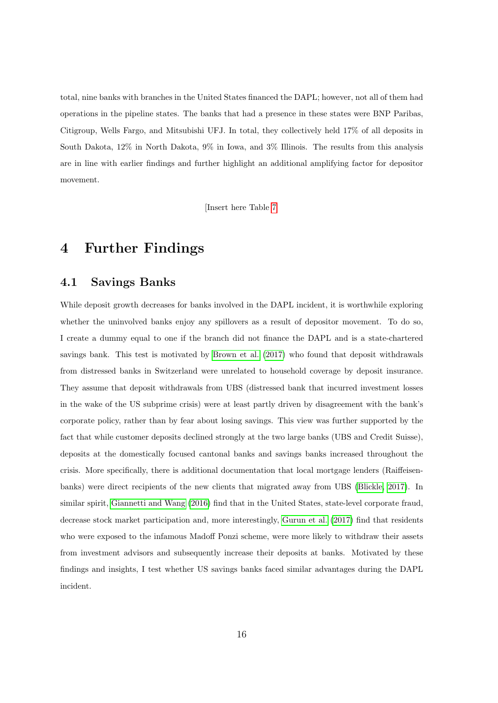total, nine banks with branches in the United States financed the DAPL; however, not all of them had operations in the pipeline states. The banks that had a presence in these states were BNP Paribas, Citigroup, Wells Fargo, and Mitsubishi UFJ. In total, they collectively held 17% of all deposits in South Dakota, 12% in North Dakota, 9% in Iowa, and 3% Illinois. The results from this analysis are in line with earlier findings and further highlight an additional amplifying factor for depositor movement.

[Insert here Table [7\]](#page-33-0)

## <span id="page-16-0"></span>4 Further Findings

## 4.1 Savings Banks

While deposit growth decreases for banks involved in the DAPL incident, it is worthwhile exploring whether the uninvolved banks enjoy any spillovers as a result of depositor movement. To do so, I create a dummy equal to one if the branch did not finance the DAPL and is a state-chartered savings bank. This test is motivated by [Brown et al.](#page-22-1) [\(2017\)](#page-22-1) who found that deposit withdrawals from distressed banks in Switzerland were unrelated to household coverage by deposit insurance. They assume that deposit withdrawals from UBS (distressed bank that incurred investment losses in the wake of the US subprime crisis) were at least partly driven by disagreement with the bank's corporate policy, rather than by fear about losing savings. This view was further supported by the fact that while customer deposits declined strongly at the two large banks (UBS and Credit Suisse), deposits at the domestically focused cantonal banks and savings banks increased throughout the crisis. More specifically, there is additional documentation that local mortgage lenders (Raiffeisenbanks) were direct recipients of the new clients that migrated away from UBS [\(Blickle, 2017\)](#page-22-9). In similar spirit, [Giannetti and Wang](#page-22-11) [\(2016\)](#page-22-11) find that in the United States, state-level corporate fraud, decrease stock market participation and, more interestingly, [Gurun et al.](#page-23-11) [\(2017\)](#page-23-11) find that residents who were exposed to the infamous Madoff Ponzi scheme, were more likely to withdraw their assets from investment advisors and subsequently increase their deposits at banks. Motivated by these findings and insights, I test whether US savings banks faced similar advantages during the DAPL incident.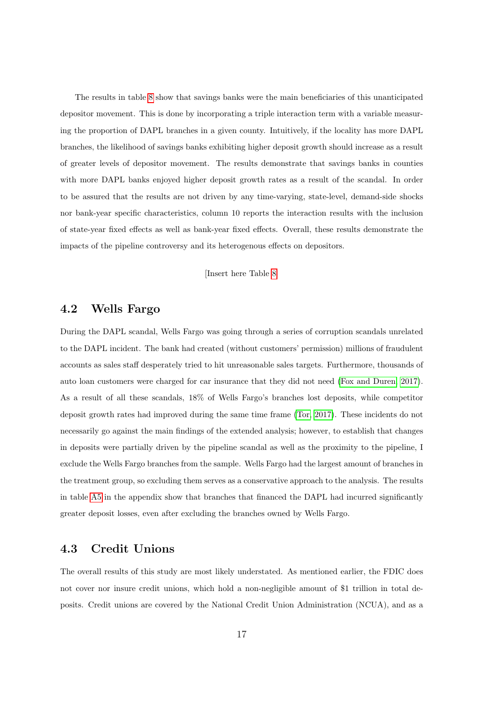The results in table [8](#page-34-0) show that savings banks were the main beneficiaries of this unanticipated depositor movement. This is done by incorporating a triple interaction term with a variable measuring the proportion of DAPL branches in a given county. Intuitively, if the locality has more DAPL branches, the likelihood of savings banks exhibiting higher deposit growth should increase as a result of greater levels of depositor movement. The results demonstrate that savings banks in counties with more DAPL banks enjoyed higher deposit growth rates as a result of the scandal. In order to be assured that the results are not driven by any time-varying, state-level, demand-side shocks nor bank-year specific characteristics, column 10 reports the interaction results with the inclusion of state-year fixed effects as well as bank-year fixed effects. Overall, these results demonstrate the impacts of the pipeline controversy and its heterogenous effects on depositors.

[Insert here Table [8\]](#page-34-0)

## 4.2 Wells Fargo

During the DAPL scandal, Wells Fargo was going through a series of corruption scandals unrelated to the DAPL incident. The bank had created (without customers' permission) millions of fraudulent accounts as sales staff desperately tried to hit unreasonable sales targets. Furthermore, thousands of auto loan customers were charged for car insurance that they did not need [\(Fox and Duren, 2017\)](#page-22-12). As a result of all these scandals, 18% of Wells Fargo's branches lost deposits, while competitor deposit growth rates had improved during the same time frame [\(Tor, 2017\)](#page-25-0). These incidents do not necessarily go against the main findings of the extended analysis; however, to establish that changes in deposits were partially driven by the pipeline scandal as well as the proximity to the pipeline, I exclude the Wells Fargo branches from the sample. Wells Fargo had the largest amount of branches in the treatment group, so excluding them serves as a conservative approach to the analysis. The results in table [A5](#page-45-0) in the appendix show that branches that financed the DAPL had incurred significantly greater deposit losses, even after excluding the branches owned by Wells Fargo.

### 4.3 Credit Unions

The overall results of this study are most likely understated. As mentioned earlier, the FDIC does not cover nor insure credit unions, which hold a non-negligible amount of \$1 trillion in total deposits. Credit unions are covered by the National Credit Union Administration (NCUA), and as a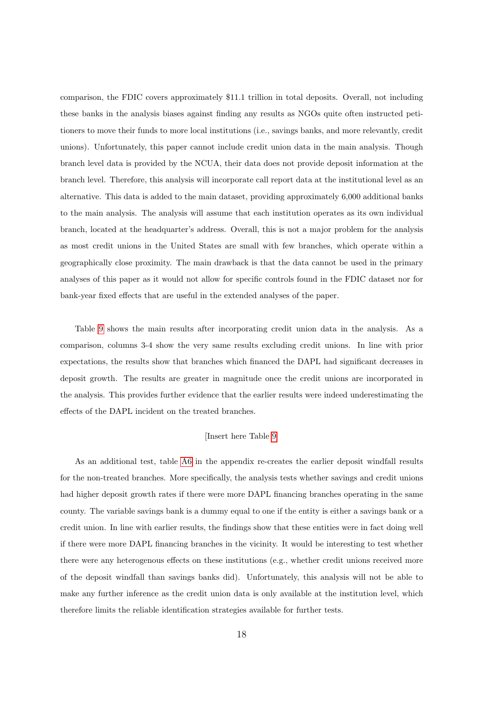comparison, the FDIC covers approximately \$11.1 trillion in total deposits. Overall, not including these banks in the analysis biases against finding any results as NGOs quite often instructed petitioners to move their funds to more local institutions (i.e., savings banks, and more relevantly, credit unions). Unfortunately, this paper cannot include credit union data in the main analysis. Though branch level data is provided by the NCUA, their data does not provide deposit information at the branch level. Therefore, this analysis will incorporate call report data at the institutional level as an alternative. This data is added to the main dataset, providing approximately 6,000 additional banks to the main analysis. The analysis will assume that each institution operates as its own individual branch, located at the headquarter's address. Overall, this is not a major problem for the analysis as most credit unions in the United States are small with few branches, which operate within a geographically close proximity. The main drawback is that the data cannot be used in the primary analyses of this paper as it would not allow for specific controls found in the FDIC dataset nor for bank-year fixed effects that are useful in the extended analyses of the paper.

Table [9](#page-35-0) shows the main results after incorporating credit union data in the analysis. As a comparison, columns 3-4 show the very same results excluding credit unions. In line with prior expectations, the results show that branches which financed the DAPL had significant decreases in deposit growth. The results are greater in magnitude once the credit unions are incorporated in the analysis. This provides further evidence that the earlier results were indeed underestimating the effects of the DAPL incident on the treated branches.

#### [Insert here Table [9\]](#page-35-0)

As an additional test, table [A6](#page-46-0) in the appendix re-creates the earlier deposit windfall results for the non-treated branches. More specifically, the analysis tests whether savings and credit unions had higher deposit growth rates if there were more DAPL financing branches operating in the same county. The variable savings bank is a dummy equal to one if the entity is either a savings bank or a credit union. In line with earlier results, the findings show that these entities were in fact doing well if there were more DAPL financing branches in the vicinity. It would be interesting to test whether there were any heterogenous effects on these institutions (e.g., whether credit unions received more of the deposit windfall than savings banks did). Unfortunately, this analysis will not be able to make any further inference as the credit union data is only available at the institution level, which therefore limits the reliable identification strategies available for further tests.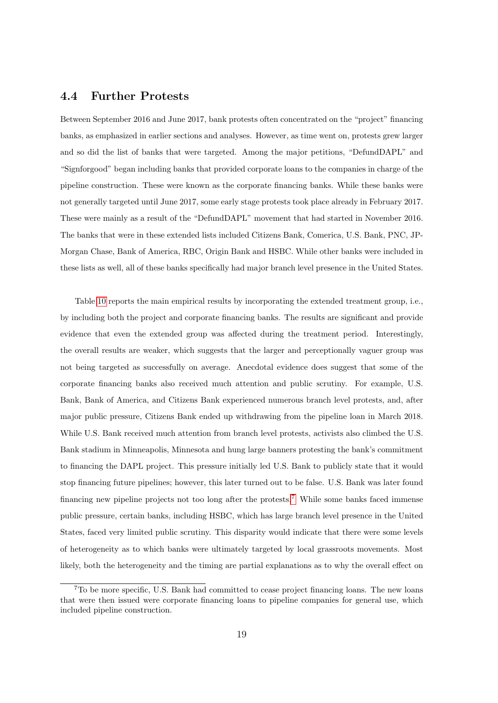## 4.4 Further Protests

Between September 2016 and June 2017, bank protests often concentrated on the "project" financing banks, as emphasized in earlier sections and analyses. However, as time went on, protests grew larger and so did the list of banks that were targeted. Among the major petitions, "DefundDAPL" and "Signforgood" began including banks that provided corporate loans to the companies in charge of the pipeline construction. These were known as the corporate financing banks. While these banks were not generally targeted until June 2017, some early stage protests took place already in February 2017. These were mainly as a result of the "DefundDAPL" movement that had started in November 2016. The banks that were in these extended lists included Citizens Bank, Comerica, U.S. Bank, PNC, JP-Morgan Chase, Bank of America, RBC, Origin Bank and HSBC. While other banks were included in these lists as well, all of these banks specifically had major branch level presence in the United States.

Table [10](#page-36-0) reports the main empirical results by incorporating the extended treatment group, i.e., by including both the project and corporate financing banks. The results are significant and provide evidence that even the extended group was affected during the treatment period. Interestingly, the overall results are weaker, which suggests that the larger and perceptionally vaguer group was not being targeted as successfully on average. Anecdotal evidence does suggest that some of the corporate financing banks also received much attention and public scrutiny. For example, U.S. Bank, Bank of America, and Citizens Bank experienced numerous branch level protests, and, after major public pressure, Citizens Bank ended up withdrawing from the pipeline loan in March 2018. While U.S. Bank received much attention from branch level protests, activists also climbed the U.S. Bank stadium in Minneapolis, Minnesota and hung large banners protesting the bank's commitment to financing the DAPL project. This pressure initially led U.S. Bank to publicly state that it would stop financing future pipelines; however, this later turned out to be false. U.S. Bank was later found financing new pipeline projects not too long after the protests.[7](#page-0-0) While some banks faced immense public pressure, certain banks, including HSBC, which has large branch level presence in the United States, faced very limited public scrutiny. This disparity would indicate that there were some levels of heterogeneity as to which banks were ultimately targeted by local grassroots movements. Most likely, both the heterogeneity and the timing are partial explanations as to why the overall effect on

<sup>7</sup>To be more specific, U.S. Bank had committed to cease project financing loans. The new loans that were then issued were corporate financing loans to pipeline companies for general use, which included pipeline construction.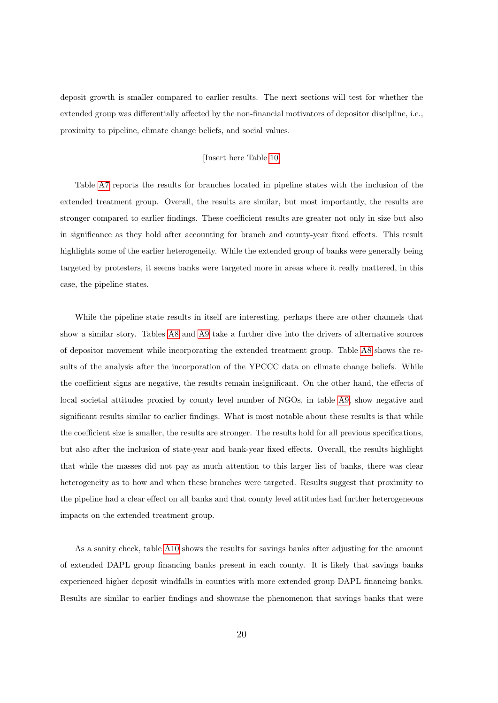deposit growth is smaller compared to earlier results. The next sections will test for whether the extended group was differentially affected by the non-financial motivators of depositor discipline, i.e., proximity to pipeline, climate change beliefs, and social values.

#### [Insert here Table [10\]](#page-36-0)

Table [A7](#page-47-0) reports the results for branches located in pipeline states with the inclusion of the extended treatment group. Overall, the results are similar, but most importantly, the results are stronger compared to earlier findings. These coefficient results are greater not only in size but also in significance as they hold after accounting for branch and county-year fixed effects. This result highlights some of the earlier heterogeneity. While the extended group of banks were generally being targeted by protesters, it seems banks were targeted more in areas where it really mattered, in this case, the pipeline states.

While the pipeline state results in itself are interesting, perhaps there are other channels that show a similar story. Tables [A8](#page-48-0) and [A9](#page-49-0) take a further dive into the drivers of alternative sources of depositor movement while incorporating the extended treatment group. Table [A8](#page-48-0) shows the results of the analysis after the incorporation of the YPCCC data on climate change beliefs. While the coefficient signs are negative, the results remain insignificant. On the other hand, the effects of local societal attitudes proxied by county level number of NGOs, in table [A9,](#page-49-0) show negative and significant results similar to earlier findings. What is most notable about these results is that while the coefficient size is smaller, the results are stronger. The results hold for all previous specifications, but also after the inclusion of state-year and bank-year fixed effects. Overall, the results highlight that while the masses did not pay as much attention to this larger list of banks, there was clear heterogeneity as to how and when these branches were targeted. Results suggest that proximity to the pipeline had a clear effect on all banks and that county level attitudes had further heterogeneous impacts on the extended treatment group.

As a sanity check, table [A10](#page-50-0) shows the results for savings banks after adjusting for the amount of extended DAPL group financing banks present in each county. It is likely that savings banks experienced higher deposit windfalls in counties with more extended group DAPL financing banks. Results are similar to earlier findings and showcase the phenomenon that savings banks that were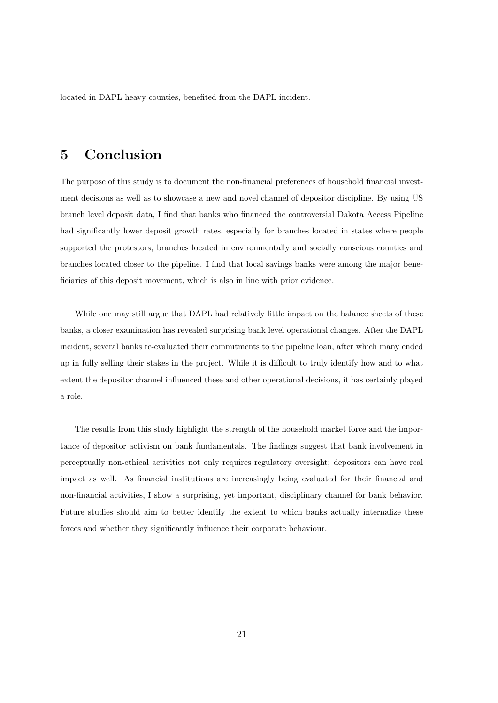located in DAPL heavy counties, benefited from the DAPL incident.

## <span id="page-21-0"></span>5 Conclusion

The purpose of this study is to document the non-financial preferences of household financial investment decisions as well as to showcase a new and novel channel of depositor discipline. By using US branch level deposit data, I find that banks who financed the controversial Dakota Access Pipeline had significantly lower deposit growth rates, especially for branches located in states where people supported the protestors, branches located in environmentally and socially conscious counties and branches located closer to the pipeline. I find that local savings banks were among the major beneficiaries of this deposit movement, which is also in line with prior evidence.

While one may still argue that DAPL had relatively little impact on the balance sheets of these banks, a closer examination has revealed surprising bank level operational changes. After the DAPL incident, several banks re-evaluated their commitments to the pipeline loan, after which many ended up in fully selling their stakes in the project. While it is difficult to truly identify how and to what extent the depositor channel influenced these and other operational decisions, it has certainly played a role.

The results from this study highlight the strength of the household market force and the importance of depositor activism on bank fundamentals. The findings suggest that bank involvement in perceptually non-ethical activities not only requires regulatory oversight; depositors can have real impact as well. As financial institutions are increasingly being evaluated for their financial and non-financial activities, I show a surprising, yet important, disciplinary channel for bank behavior. Future studies should aim to better identify the extent to which banks actually internalize these forces and whether they significantly influence their corporate behaviour.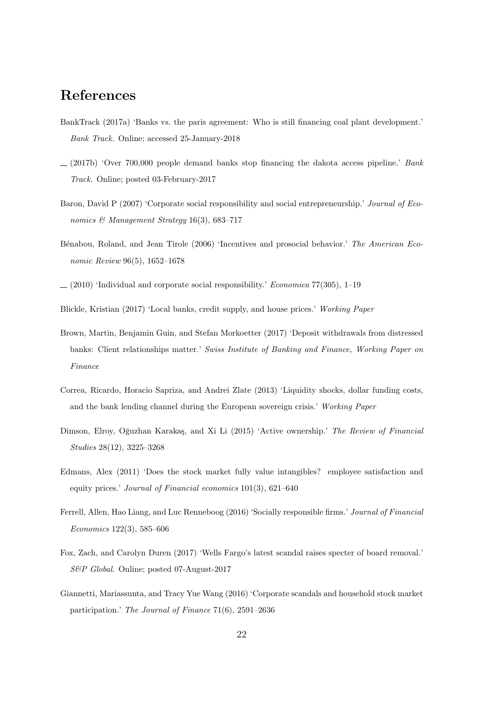## References

- <span id="page-22-0"></span>BankTrack (2017a) 'Banks vs. the paris agreement: Who is still financing coal plant development.' Bank Track. Online; accessed 25-January-2018
- <span id="page-22-10"></span> $(2017b)$  'Over 700,000 people demand banks stop financing the dakota access pipeline.' Bank Track. Online; posted 03-February-2017
- <span id="page-22-3"></span>Baron, David P (2007) 'Corporate social responsibility and social entrepreneurship.' Journal of Economics & Management Strategy 16(3), 683–717
- <span id="page-22-2"></span>Bénabou, Roland, and Jean Tirole (2006) 'Incentives and prosocial behavior.' The American Economic Review 96(5), 1652–1678
- <span id="page-22-4"></span> $(2010)$  'Individual and corporate social responsibility.' *Economica* 77(305), 1–19
- <span id="page-22-9"></span>Blickle, Kristian (2017) 'Local banks, credit supply, and house prices.' Working Paper
- <span id="page-22-1"></span>Brown, Martin, Benjamin Guin, and Stefan Morkoetter (2017) 'Deposit withdrawals from distressed banks: Client relationships matter.' Swiss Institute of Banking and Finance, Working Paper on Finance
- <span id="page-22-8"></span>Correa, Ricardo, Horacio Sapriza, and Andrei Zlate (2013) 'Liquidity shocks, dollar funding costs, and the bank lending channel during the European sovereign crisis.' Working Paper
- <span id="page-22-6"></span>Dimson, Elroy, Oğuzhan Karakaş, and Xi Li (2015) 'Active ownership.' The Review of Financial Studies 28(12), 3225–3268
- <span id="page-22-5"></span>Edmans, Alex (2011) 'Does the stock market fully value intangibles? employee satisfaction and equity prices.' Journal of Financial economics 101(3), 621–640
- <span id="page-22-7"></span>Ferrell, Allen, Hao Liang, and Luc Renneboog (2016) 'Socially responsible firms.' Journal of Financial Economics 122(3), 585–606
- <span id="page-22-12"></span>Fox, Zach, and Carolyn Duren (2017) 'Wells Fargo's latest scandal raises specter of board removal.' S&P Global. Online; posted 07-August-2017
- <span id="page-22-11"></span>Giannetti, Mariassunta, and Tracy Yue Wang (2016) 'Corporate scandals and household stock market participation.' The Journal of Finance 71(6), 2591–2636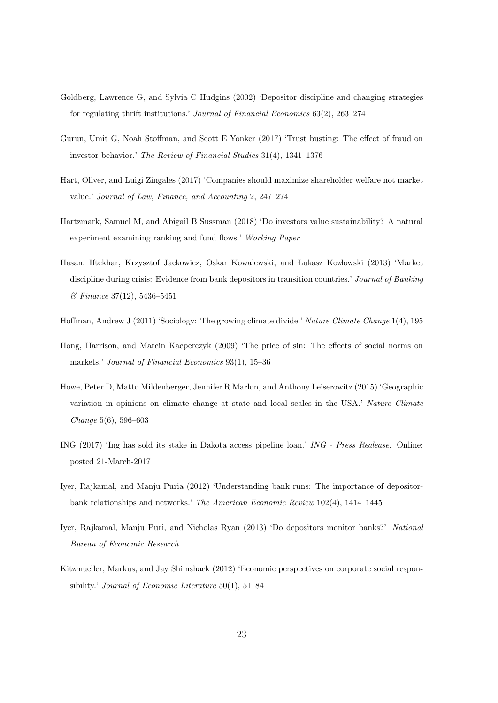- <span id="page-23-1"></span>Goldberg, Lawrence G, and Sylvia C Hudgins (2002) 'Depositor discipline and changing strategies for regulating thrift institutions.' Journal of Financial Economics 63(2), 263–274
- <span id="page-23-11"></span>Gurun, Umit G, Noah Stoffman, and Scott E Yonker (2017) 'Trust busting: The effect of fraud on investor behavior.' The Review of Financial Studies 31(4), 1341–1376
- <span id="page-23-0"></span>Hart, Oliver, and Luigi Zingales (2017) 'Companies should maximize shareholder welfare not market value.' Journal of Law, Finance, and Accounting 2, 247–274
- <span id="page-23-3"></span>Hartzmark, Samuel M, and Abigail B Sussman (2018) 'Do investors value sustainability? A natural experiment examining ranking and fund flows.' Working Paper
- <span id="page-23-5"></span>Hasan, Iftekhar, Krzysztof Jackowicz, Oskar Kowalewski, and Lukasz Kozłowski (2013) 'Market discipline during crisis: Evidence from bank depositors in transition countries.' Journal of Banking & Finance 37(12), 5436–5451
- <span id="page-23-10"></span>Hoffman, Andrew J (2011) 'Sociology: The growing climate divide.' Nature Climate Change 1(4), 195
- <span id="page-23-2"></span>Hong, Harrison, and Marcin Kacperczyk (2009) 'The price of sin: The effects of social norms on markets.' Journal of Financial Economics 93(1), 15–36
- <span id="page-23-9"></span>Howe, Peter D, Matto Mildenberger, Jennifer R Marlon, and Anthony Leiserowitz (2015) 'Geographic variation in opinions on climate change at state and local scales in the USA.' Nature Climate Change 5(6), 596–603
- <span id="page-23-8"></span>ING (2017) 'Ing has sold its stake in Dakota access pipeline loan.' ING - Press Realease. Online; posted 21-March-2017
- <span id="page-23-7"></span>Iyer, Rajkamal, and Manju Puria (2012) 'Understanding bank runs: The importance of depositorbank relationships and networks.' The American Economic Review 102(4), 1414–1445
- <span id="page-23-6"></span>Iyer, Rajkamal, Manju Puri, and Nicholas Ryan (2013) 'Do depositors monitor banks?' National Bureau of Economic Research
- <span id="page-23-4"></span>Kitzmueller, Markus, and Jay Shimshack (2012) 'Economic perspectives on corporate social responsibility.' Journal of Economic Literature 50(1), 51–84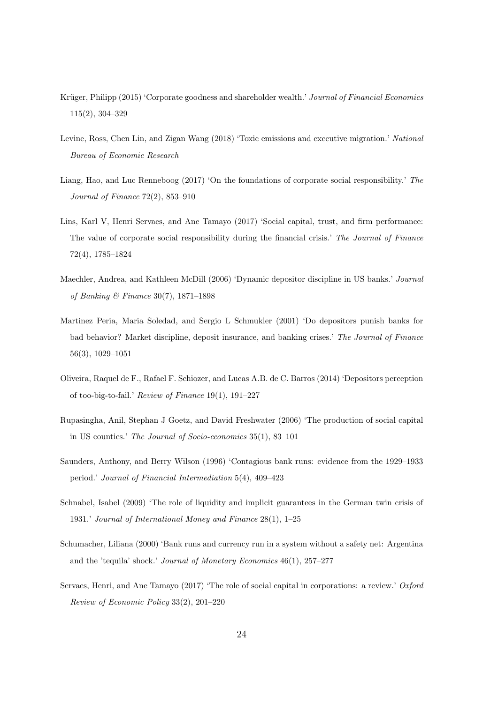- <span id="page-24-5"></span>Krüger, Philipp (2015) 'Corporate goodness and shareholder wealth.' Journal of Financial Economics 115(2), 304–329
- <span id="page-24-11"></span>Levine, Ross, Chen Lin, and Zigan Wang (2018) 'Toxic emissions and executive migration.' National Bureau of Economic Research
- <span id="page-24-7"></span>Liang, Hao, and Luc Renneboog (2017) 'On the foundations of corporate social responsibility.' The Journal of Finance 72(2), 853–910
- <span id="page-24-6"></span>Lins, Karl V, Henri Servaes, and Ane Tamayo (2017) 'Social capital, trust, and firm performance: The value of corporate social responsibility during the financial crisis.' The Journal of Finance 72(4), 1785–1824
- <span id="page-24-1"></span>Maechler, Andrea, and Kathleen McDill (2006) 'Dynamic depositor discipline in US banks.' Journal of Banking & Finance 30(7), 1871–1898
- <span id="page-24-0"></span>Martinez Peria, Maria Soledad, and Sergio L Schmukler (2001) 'Do depositors punish banks for bad behavior? Market discipline, deposit insurance, and banking crises.' The Journal of Finance 56(3), 1029–1051
- <span id="page-24-9"></span>Oliveira, Raquel de F., Rafael F. Schiozer, and Lucas A.B. de C. Barros (2014) 'Depositors perception of too-big-to-fail.' Review of Finance 19(1), 191–227
- <span id="page-24-10"></span>Rupasingha, Anil, Stephan J Goetz, and David Freshwater (2006) 'The production of social capital in US counties.' The Journal of Socio-economics 35(1), 83–101
- <span id="page-24-2"></span>Saunders, Anthony, and Berry Wilson (1996) 'Contagious bank runs: evidence from the 1929–1933 period.' Journal of Financial Intermediation 5(4), 409–423
- <span id="page-24-4"></span>Schnabel, Isabel (2009) 'The role of liquidity and implicit guarantees in the German twin crisis of 1931.' Journal of International Money and Finance 28(1), 1–25
- <span id="page-24-3"></span>Schumacher, Liliana (2000) 'Bank runs and currency run in a system without a safety net: Argentina and the 'tequila' shock.' Journal of Monetary Economics 46(1), 257–277
- <span id="page-24-8"></span>Servaes, Henri, and Ane Tamayo (2017) 'The role of social capital in corporations: a review.' Oxford Review of Economic Policy 33(2), 201–220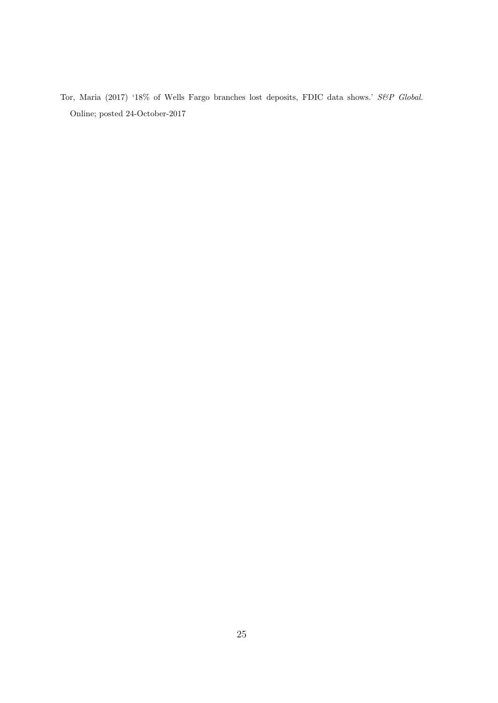<span id="page-25-0"></span>Tor, Maria (2017) '18% of Wells Fargo branches lost deposits, FDIC data shows.' S&P Global. Online; posted 24-October-2017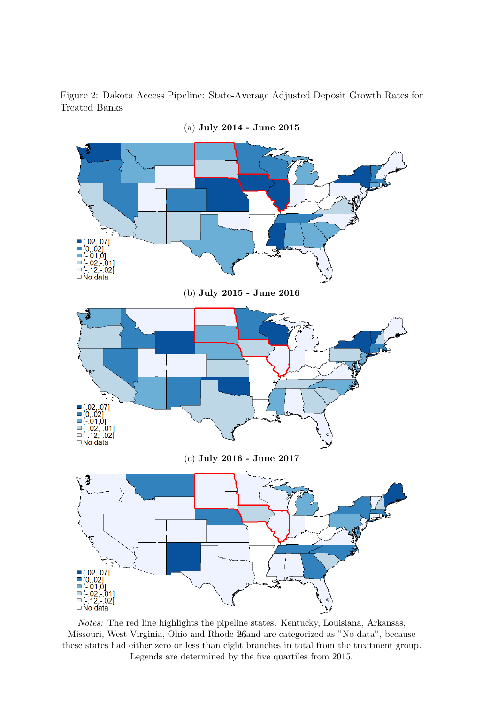<span id="page-26-0"></span>Figure 2: Dakota Access Pipeline: State-Average Adjusted Deposit Growth Rates for Treated Banks



Notes: The red line highlights the pipeline states. Kentucky, Louisiana, Arkansas, Missouri, West Virginia, Ohio and Rhode **M**and are categorized as "No data", because these states had either zero or less than eight branches in total from the treatment group. Legends are determined by the five quartiles from 2015.

(a) July 2014 - June 2015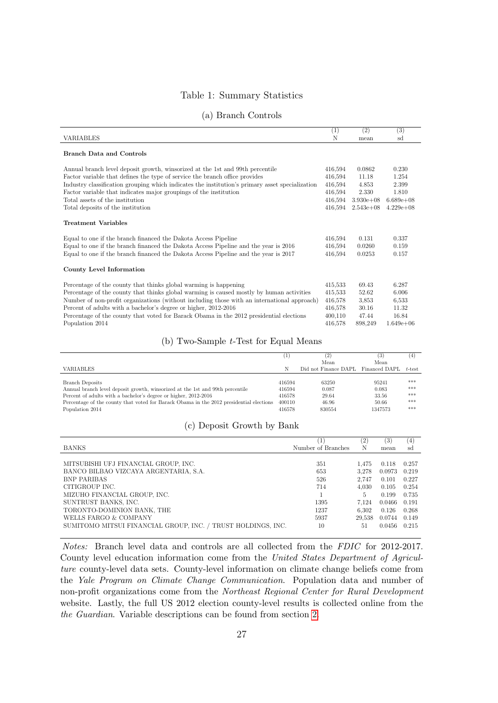### Table 1: Summary Statistics

<span id="page-27-0"></span>

|                                                                                                 | (1)     | (2)           | $\overline{(3)}$ |  |
|-------------------------------------------------------------------------------------------------|---------|---------------|------------------|--|
| VARIABLES                                                                                       | N       | mean          | sd               |  |
| Branch Data and Controls                                                                        |         |               |                  |  |
| Annual branch level deposit growth, winsorized at the 1st and 99th percentile                   | 416,594 | 0.0862        | 0.230            |  |
| Factor variable that defines the type of service the branch office provides                     | 416,594 | 11.18         | 1.254            |  |
| Industry classification grouping which indicates the institution's primary asset specialization | 416,594 | 4.853         | 2.399            |  |
| Factor variable that indicates major groupings of the institution                               | 416,594 | 2.330         | 1.810            |  |
| Total assets of the institution                                                                 | 416,594 | $3.930e + 08$ | $6.689e+08$      |  |
| Total deposits of the institution                                                               | 416,594 | $2.543e+08$   | $4.229e+08$      |  |
| Treatment Variables                                                                             |         |               |                  |  |
| Equal to one if the branch financed the Dakota Access Pipeline                                  | 416,594 | 0.131         | 0.337            |  |
| Equal to one if the branch financed the Dakota Access Pipeline and the year is 2016             | 416,594 | 0.0260        | 0.159            |  |
| Equal to one if the branch financed the Dakota Access Pipeline and the year is 2017             | 416.594 | 0.0253        | 0.157            |  |
| County Level Information                                                                        |         |               |                  |  |
| Percentage of the county that thinks global warming is happening                                | 415.533 | 69.43         | 6.287            |  |
| Percentage of the county that thinks global warming is caused mostly by human activities        | 415,533 | 52.62         | 6.006            |  |
| Number of non-profit organizations (without including those with an international approach)     | 416,578 | 3,853         | 6,533            |  |
| Percent of adults with a bachelor's degree or higher, 2012-2016                                 | 416.578 | 30.16         | 11.32            |  |
| Percentage of the county that voted for Barack Obama in the 2012 presidential elections         | 400,110 | 47.44         | 16.84            |  |
| Population 2014                                                                                 | 416,578 | 898,249       | $1.649e + 06$    |  |
|                                                                                                 |         |               |                  |  |

#### (a) Branch Controls

#### (b) Two-Sample t-Test for Equal Means

|                                                                                         |        | (2)                                | (3)     | (4)       |
|-----------------------------------------------------------------------------------------|--------|------------------------------------|---------|-----------|
|                                                                                         |        | Mean                               | Mean    |           |
| VARIABLES                                                                               |        | Did not Finance DAPL Financed DAPL |         | $t$ -test |
|                                                                                         |        |                                    |         |           |
| Branch Deposits                                                                         | 416594 | 63250                              | 95241   | ***       |
| Annual branch level deposit growth, winsorized at the 1st and 99th percentile           | 416594 | 0.087                              | 0.083   | ***       |
| Percent of adults with a bachelor's degree or higher, 2012-2016                         | 416578 | 29.64                              | 33.56   | ***       |
| Percentage of the county that voted for Barack Obama in the 2012 presidential elections | 400110 | 46.96                              | 50.66   | ***       |
| Population 2014                                                                         | 416578 | 830554                             | 1347573 | ***       |
|                                                                                         |        |                                    |         |           |

#### (c) Deposit Growth by Bank

|                                                              | 1                  | $\left( 2\right)$ | (3)    | (4)   |
|--------------------------------------------------------------|--------------------|-------------------|--------|-------|
| <b>BANKS</b>                                                 | Number of Branches | Ν                 | mean   | sd    |
|                                                              |                    |                   |        |       |
| MITSUBISHI UFJ FINANCIAL GROUP, INC.                         | 351                | 1.475             | 0.118  | 0.257 |
| BANCO BILBAO VIZCAYA ARGENTARIA, S.A.                        | 653                | 3.278             | 0.0973 | 0.219 |
| <b>BNP PARIBAS</b>                                           | 526                | 2.747             | 0.101  | 0.227 |
| CITIGROUP INC.                                               | 714                | 4.030             | 0.105  | 0.254 |
| MIZUHO FINANCIAL GROUP, INC.                                 |                    |                   | 0.199  | 0.735 |
| SUNTRUST BANKS, INC.                                         | 1395               | 7.124             | 0.0466 | 0.191 |
| TORONTO-DOMINION BANK, THE                                   | 1237               | 6.302             | 0.126  | 0.268 |
| WELLS FARGO & COMPANY                                        | 5937               | 29.538            | 0.0744 | 0.149 |
| SUMITOMO MITSUI FINANCIAL GROUP, INC. / TRUST HOLDINGS, INC. | 10                 | 51                | 0.0456 | 0.215 |
|                                                              |                    |                   |        |       |

Notes: Branch level data and controls are all collected from the FDIC for 2012-2017. County level education information come from the United States Department of Agriculture county-level data sets. County-level information on climate change beliefs come from the Yale Program on Climate Change Communication. Population data and number of non-profit organizations come from the Northeast Regional Center for Rural Development website. Lastly, the full US 2012 election county-level results is collected online from the the Guardian. Variable descriptions can be found from section [2.](#page-6-0)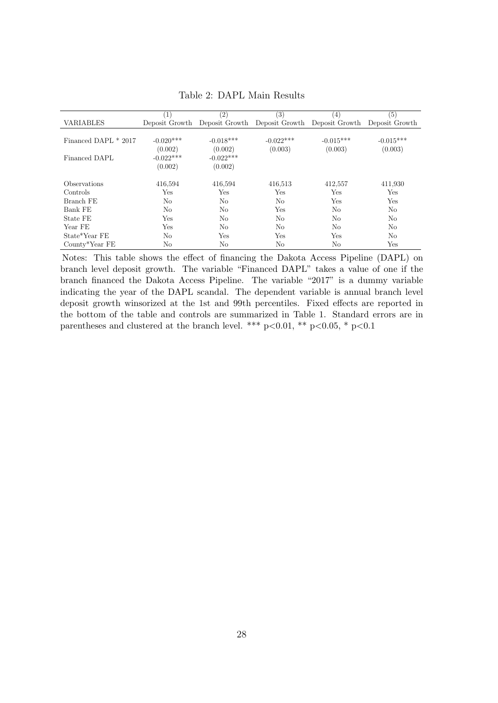<span id="page-28-0"></span>

|                      | $\left( 1\right)$ | $\left( 2\right)$                                           | (3)         | $\left(4\right)$ | (5)            |
|----------------------|-------------------|-------------------------------------------------------------|-------------|------------------|----------------|
| <b>VARIABLES</b>     |                   | Deposit Growth Deposit Growth Deposit Growth Deposit Growth |             |                  | Deposit Growth |
|                      |                   |                                                             |             |                  |                |
| Financed DAPL * 2017 | $-0.020***$       | $-0.018***$                                                 | $-0.022***$ | $-0.015***$      | $-0.015***$    |
|                      | (0.002)           | (0.002)                                                     | (0.003)     | (0.003)          | (0.003)        |
| Financed DAPL        | $-0.022***$       | $-0.022***$                                                 |             |                  |                |
|                      | (0.002)           | (0.002)                                                     |             |                  |                |
|                      |                   |                                                             |             |                  |                |
| Observations         | 416,594           | 416,594                                                     | 416,513     | 412,557          | 411,930        |
| Controls             | Yes               | Yes                                                         | Yes         | Yes              | Yes            |
| Branch FE            | N <sub>o</sub>    | No                                                          | No          | Yes              | Yes            |
| Bank FE              | No                | No                                                          | Yes         | N <sub>0</sub>   | No             |
| State FE             | Yes               | No                                                          | No          | No               | N <sub>o</sub> |
| Year FE              | Yes               | No                                                          | No          | No               | No             |
| State*Year FE        | No                | Yes                                                         | Yes         | Yes              | No.            |
| County*Year FE       | No                | No                                                          | No          | No               | Yes            |
|                      |                   |                                                             |             |                  |                |

Table 2: DAPL Main Results

Notes: This table shows the effect of financing the Dakota Access Pipeline (DAPL) on branch level deposit growth. The variable "Financed DAPL" takes a value of one if the branch financed the Dakota Access Pipeline. The variable "2017" is a dummy variable indicating the year of the DAPL scandal. The dependent variable is annual branch level deposit growth winsorized at the 1st and 99th percentiles. Fixed effects are reported in the bottom of the table and controls are summarized in Table 1. Standard errors are in parentheses and clustered at the branch level. \*\*\* p<0.01, \*\* p<0.05, \* p<0.1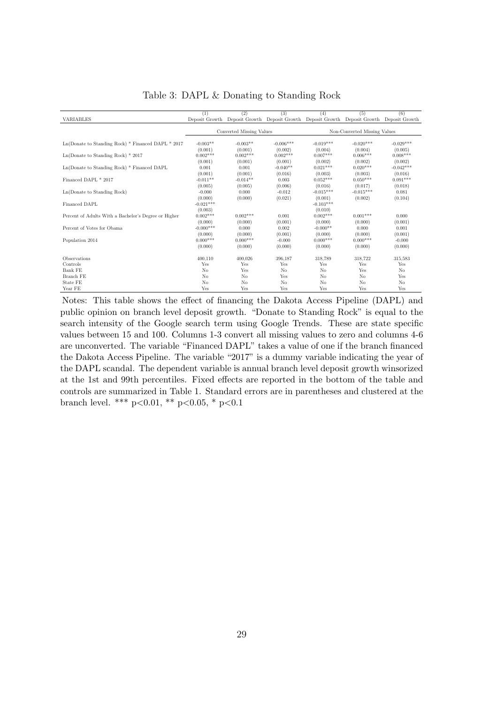<span id="page-29-0"></span>

|                                                      | (1)         | (2)                      | (3)                                                                                       | (4)         | (5)                          | (6)         |
|------------------------------------------------------|-------------|--------------------------|-------------------------------------------------------------------------------------------|-------------|------------------------------|-------------|
| <b>VARIABLES</b>                                     |             |                          | Deposit Growth Deposit Growth Deposit Growth Deposit Growth Deposit Growth Deposit Growth |             |                              |             |
|                                                      |             | Converted Missing Values |                                                                                           |             | Non-Converted Missing Values |             |
|                                                      |             |                          |                                                                                           |             |                              |             |
| $Ln(Donate to Standing Rock) * Finance DAPL * 2017$  | $-0.003**$  | $-0.003**$               | $-0.006***$                                                                               | $-0.019***$ | $-0.020***$                  | $-0.029***$ |
|                                                      | (0.001)     | (0.001)                  | (0.002)                                                                                   | (0.004)     | (0.004)                      | (0.005)     |
| $Ln(Donate to Standing Rock) * 2017$                 | $0.002***$  | $0.002***$               | $0.002***$                                                                                | $0.007***$  | $0.006***$                   | $0.008***$  |
|                                                      | (0.001)     | (0.001)                  | (0.001)                                                                                   | (0.002)     | (0.002)                      | (0.002)     |
| Ln(Donate to Standing Rock) * Financed DAPL          | 0.001       | 0.001                    | $-0.040**$                                                                                | $0.021***$  | $0.020***$                   | $-0.042***$ |
|                                                      | (0.001)     | (0.001)                  | (0.016)                                                                                   | (0.003)     | (0.003)                      | (0.016)     |
| Financed DAPL * 2017                                 | $-0.011**$  | $-0.014**$               | 0.003                                                                                     | $0.052***$  | $0.050***$                   | $0.091***$  |
|                                                      | (0.005)     | (0.005)                  | (0.006)                                                                                   | (0.016)     | (0.017)                      | (0.018)     |
| Ln(Donate to Standing Rock)                          | $-0.000$    | 0.000                    | $-0.012$                                                                                  | $-0.015***$ | $-0.015***$                  | 0.081       |
|                                                      | (0.000)     | (0.000)                  | (0.021)                                                                                   | (0.001)     | (0.002)                      | (0.104)     |
| Financed DAPL                                        | $-0.021***$ |                          |                                                                                           | $-0.103***$ |                              |             |
|                                                      | (0.003)     |                          |                                                                                           | (0.010)     |                              |             |
| Percent of Adults With a Bachelor's Degree or Higher | $0.002***$  | $0.002***$               | 0.001                                                                                     | $0.002***$  | $0.001***$                   | 0.000       |
|                                                      | (0.000)     | (0.000)                  | (0.001)                                                                                   | (0.000)     | (0.000)                      | (0.001)     |
| Percent of Votes for Obama                           | $-0.000***$ | 0.000                    | 0.002                                                                                     | $-0.000**$  | 0.000                        | 0.001       |
|                                                      | (0.000)     | (0.000)                  | (0.001)                                                                                   | (0.000)     | (0.000)                      | (0.001)     |
| Population 2014                                      | $0.000***$  | $0.000***$               | $-0.000$                                                                                  | $0.000***$  | $0.000***$                   | $-0.000$    |
|                                                      | (0.000)     | (0.000)                  | (0.000)                                                                                   | (0.000)     | (0.000)                      | (0.000)     |
| Observations                                         | 400,110     | 400,026                  | 396,187                                                                                   | 318,789     | 318,722                      | 315,583     |
| Controls                                             | Yes         | Yes                      | Yes                                                                                       | Yes         | Yes                          | Yes         |
| Bank FE                                              | No          | Yes                      | No                                                                                        | No          | Yes                          | No          |
| Branch FE                                            | No          | No                       | Yes                                                                                       | No          | No                           | Yes         |
| State FE                                             | No          | No                       | No                                                                                        | No          | No                           | No          |
| Year FE                                              | Yes         | Yes                      | Yes                                                                                       | Yes         | Yes                          | Yes         |

Table 3: DAPL & Donating to Standing Rock

Notes: This table shows the effect of financing the Dakota Access Pipeline (DAPL) and public opinion on branch level deposit growth. "Donate to Standing Rock" is equal to the search intensity of the Google search term using Google Trends. These are state specific values between 15 and 100. Columns 1-3 convert all missing values to zero and columns 4-6 are unconverted. The variable "Financed DAPL" takes a value of one if the branch financed the Dakota Access Pipeline. The variable "2017" is a dummy variable indicating the year of the DAPL scandal. The dependent variable is annual branch level deposit growth winsorized at the 1st and 99th percentiles. Fixed effects are reported in the bottom of the table and controls are summarized in Table 1. Standard errors are in parentheses and clustered at the branch level. \*\*\* p<0.01, \*\* p<0.05, \* p<0.1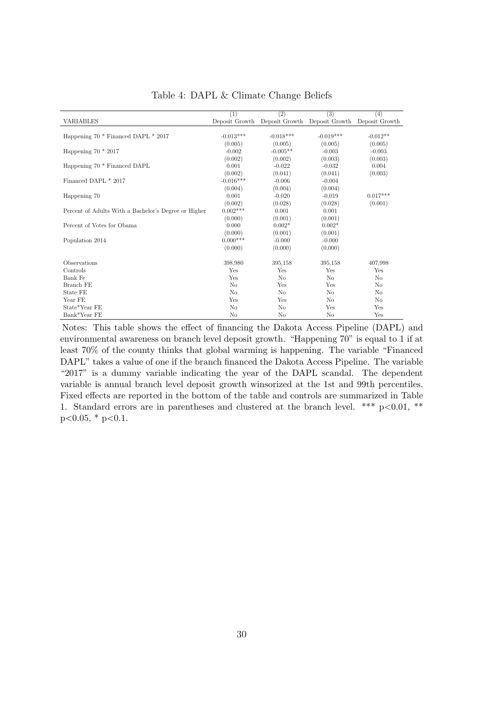<span id="page-30-0"></span>

|                                                      | (1)            | (2)         | (3)                           | (4)            |
|------------------------------------------------------|----------------|-------------|-------------------------------|----------------|
| <b>VARIABLES</b>                                     | Deposit Growth |             | Deposit Growth Deposit Growth | Deposit Growth |
|                                                      |                |             |                               |                |
| Happening 70 * Financed DAPL * 2017                  | $-0.013***$    | $-0.018***$ | $-0.019***$                   | $-0.012**$     |
|                                                      | (0.005)        | (0.005)     | (0.005)                       | (0.005)        |
| Happening $70 * 2017$                                | $-0.002$       | $-0.005**$  | $-0.003$                      | $-0.003$       |
|                                                      | (0.002)        | (0.002)     | (0.003)                       | (0.003)        |
| Happening 70 * Financed DAPL                         | 0.001          | $-0.022$    | $-0.032$                      | 0.004          |
|                                                      | (0.002)        | (0.041)     | (0.041)                       | (0.003)        |
| Financed DAPL * 2017                                 | $-0.016***$    | $-0.006$    | $-0.004$                      |                |
|                                                      | (0.004)        | (0.004)     | (0.004)                       |                |
| Happening 70                                         | 0.001          | $-0.020$    | $-0.019$                      | $0.017***$     |
|                                                      | (0.002)        | (0.028)     | (0.028)                       | (0.001)        |
| Percent of Adults With a Bachelor's Degree or Higher | $0.002***$     | 0.001       | 0.001                         |                |
|                                                      | (0.000)        | (0.001)     | (0.001)                       |                |
| Percent of Votes for Obama                           | 0.000          | $0.002*$    | $0.002*$                      |                |
|                                                      | (0.000)        | (0.001)     | (0.001)                       |                |
| Population 2014                                      | $0.000***$     | $-0.000$    | $-0.000$                      |                |
|                                                      | (0.000)        | (0.000)     | (0.000)                       |                |
| Observations                                         | 398,980        | 395,158     | 395,158                       | 407,998        |
| Controls                                             | Yes            | Yes         | Yes                           | Yes            |
| Bank Fe                                              | Yes            | No          | N <sub>o</sub>                | N <sub>o</sub> |
| Branch FE                                            | N <sub>o</sub> | Yes         | Yes                           | N <sub>o</sub> |
| State FE                                             | N <sub>o</sub> | No          | No                            | No             |
| Year FE                                              | Yes            | Yes         | N <sub>o</sub>                | N <sub>o</sub> |
| State*Year FE                                        | N <sub>o</sub> | No          | Yes                           | Yes            |
| Bank*Year FE                                         | N <sub>o</sub> | No          | No                            | Yes            |

Table 4: DAPL & Climate Change Beliefs

Notes: This table shows the effect of financing the Dakota Access Pipeline (DAPL) and environmental awareness on branch level deposit growth. "Happening 70" is equal to 1 if at least 70% of the county thinks that global warming is happening. The variable "Financed DAPL" takes a value of one if the branch financed the Dakota Access Pipeline. The variable "2017" is a dummy variable indicating the year of the DAPL scandal. The dependent variable is annual branch level deposit growth winsorized at the 1st and 99th percentiles. Fixed effects are reported in the bottom of the table and controls are summarized in Table 1. Standard errors are in parentheses and clustered at the branch level. \*\*\*  $p<0.01$ , \*\*  $p<0.05$ , \*  $p<0.1$ .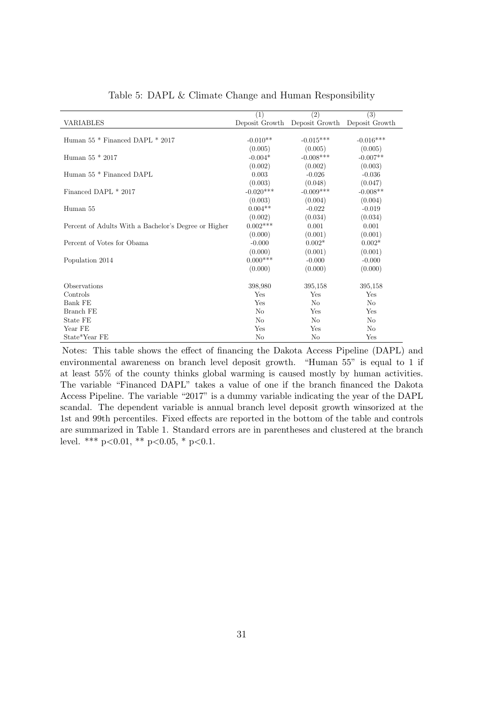<span id="page-31-0"></span>

|                                                      | (1)            | $\overline{(2)}$ | (3)            |
|------------------------------------------------------|----------------|------------------|----------------|
| <b>VARIABLES</b>                                     | Deposit Growth | Deposit Growth   | Deposit Growth |
|                                                      |                |                  |                |
| Human 55 * Financed DAPL * 2017                      | $-0.010**$     | $-0.015***$      | $-0.016***$    |
|                                                      | (0.005)        | (0.005)          | (0.005)        |
| Human $55 * 2017$                                    | $-0.004*$      | $-0.008***$      | $-0.007**$     |
|                                                      | (0.002)        | (0.002)          | (0.003)        |
| Human 55 * Financed DAPL                             | 0.003          | $-0.026$         | $-0.036$       |
|                                                      | (0.003)        | (0.048)          | (0.047)        |
| Financed DAPL * 2017                                 | $-0.020***$    | $-0.009***$      | $-0.008**$     |
|                                                      | (0.003)        | (0.004)          | (0.004)        |
| Human 55                                             | $0.004**$      | $-0.022$         | $-0.019$       |
|                                                      | (0.002)        | (0.034)          | (0.034)        |
| Percent of Adults With a Bachelor's Degree or Higher | $0.002***$     | 0.001            | 0.001          |
|                                                      | (0.000)        | (0.001)          | (0.001)        |
| Percent of Votes for Obama                           | $-0.000$       | $0.002*$         | $0.002*$       |
|                                                      | (0.000)        | (0.001)          | (0.001)        |
| Population 2014                                      | $0.000***$     | $-0.000$         | $-0.000$       |
|                                                      | (0.000)        | (0.000)          | (0.000)        |
|                                                      |                |                  |                |
| Observations                                         | 398,980        | 395,158          | 395,158        |
| Controls                                             | Yes            | Yes              | Yes            |
| Bank FE                                              | Yes            | N <sub>o</sub>   | N <sub>o</sub> |
| Branch FE                                            | No             | Yes              | Yes            |
| State FE                                             | No             | N <sub>o</sub>   | No             |
| Year FE                                              | Yes            | Yes              | N <sub>o</sub> |
| State*Year FE                                        | No             | No               | Yes            |

Table 5: DAPL & Climate Change and Human Responsibility

Notes: This table shows the effect of financing the Dakota Access Pipeline (DAPL) and environmental awareness on branch level deposit growth. "Human 55" is equal to 1 if at least 55% of the county thinks global warming is caused mostly by human activities. The variable "Financed DAPL" takes a value of one if the branch financed the Dakota Access Pipeline. The variable "2017" is a dummy variable indicating the year of the DAPL scandal. The dependent variable is annual branch level deposit growth winsorized at the 1st and 99th percentiles. Fixed effects are reported in the bottom of the table and controls are summarized in Table 1. Standard errors are in parentheses and clustered at the branch level. \*\*\*  $p<0.01$ , \*\*  $p<0.05$ , \*  $p<0.1$ .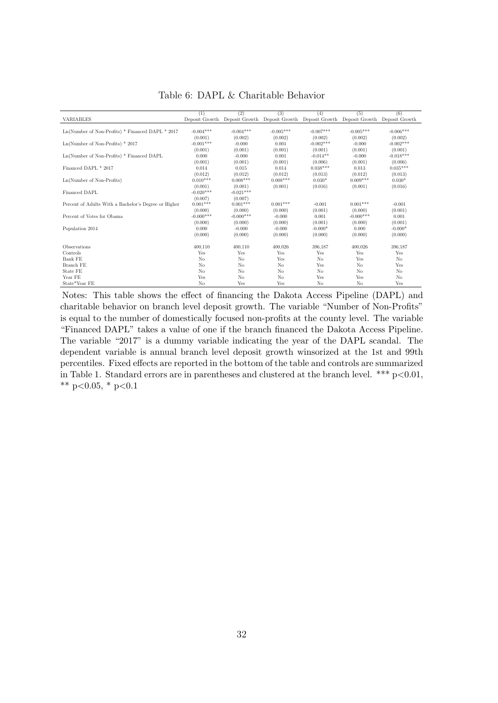<span id="page-32-0"></span>

|                                                      | (1)            | (2)            | (3)            | (4)                                                                        | (5)            | (6)            |
|------------------------------------------------------|----------------|----------------|----------------|----------------------------------------------------------------------------|----------------|----------------|
| <b>VARIABLES</b>                                     | Deposit Growth |                |                | Deposit Growth Deposit Growth Deposit Growth Deposit Growth Deposit Growth |                |                |
|                                                      |                |                |                |                                                                            |                |                |
| Ln(Number of Non-Profits) * Financed DAPL * 2017     | $-0.004***$    | $-0.004***$    | $-0.005***$    | $-0.007***$                                                                | $-0.005***$    | $-0.006***$    |
|                                                      | (0.001)        | (0.002)        | (0.002)        | (0.002)                                                                    | (0.002)        | (0.002)        |
| $Ln(Number$ of Non-Profits) $*$ 2017                 | $-0.001***$    | $-0.000$       | 0.001          | $-0.002***$                                                                | $-0.000$       | $-0.002***$    |
|                                                      | (0.001)        | (0.001)        | (0.001)        | (0.001)                                                                    | (0.001)        | (0.001)        |
| $Ln(Number$ of Non-Profits) $*$ Financed DAPL        | 0.000          | $-0.000$       | 0.001          | $-0.014**$                                                                 | $-0.000$       | $-0.018***$    |
|                                                      | (0.001)        | (0.001)        | (0.001)        | (0.006)                                                                    | (0.001)        | (0.006)        |
| Financed DAPL * 2017                                 | 0.014          | 0.015          | 0.014          | $0.038***$                                                                 | 0.013          | $0.035***$     |
|                                                      | (0.012)        | (0.012)        | (0.012)        | (0.013)                                                                    | (0.012)        | (0.013)        |
| Ln(Number of Non-Profits)                            | $0.010***$     | $0.008***$     | $0.008***$     | $0.030*$                                                                   | $0.009***$     | $0.030*$       |
|                                                      | (0.001)        | (0.001)        | (0.001)        | (0.016)                                                                    | (0.001)        | (0.016)        |
| Financed DAPL                                        | $-0.020***$    | $-0.021***$    |                |                                                                            |                |                |
|                                                      | (0.007)        | (0.007)        |                |                                                                            |                |                |
| Percent of Adults With a Bachelor's Degree or Higher | $0.001***$     | $0.001***$     | $0.001***$     | $-0.001$                                                                   | $0.001***$     | $-0.001$       |
|                                                      | (0.000)        | (0.000)        | (0.000)        | (0.001)                                                                    | (0.000)        | (0.001)        |
| Percent of Votes for Obama                           | $-0.000$ ***   | $-0.000***$    | $-0.000$       | 0.001                                                                      | $-0.000***$    | 0.001          |
|                                                      | (0.000)        | (0.000)        | (0.000)        | (0.001)                                                                    | (0.000)        | (0.001)        |
| Population 2014                                      | 0.000          | $-0.000$       | $-0.000$       | $-0.000*$                                                                  | 0.000          | $-0.000*$      |
|                                                      | (0.000)        | (0.000)        | (0.000)        | (0.000)                                                                    | (0.000)        | (0.000)        |
| Observations                                         |                |                |                |                                                                            |                |                |
| Controls                                             | 400,110<br>Yes | 400,110<br>Yes | 400.026<br>Yes | 396,187<br>Yes                                                             | 400,026<br>Yes | 396,187<br>Yes |
| Bank FE                                              | No             | No             | Yes            | No                                                                         | Yes            | No             |
|                                                      |                |                |                |                                                                            |                |                |
| Branch FE                                            | No             | No             | No             | Yes                                                                        | N <sub>o</sub> | Yes            |
| State FE                                             | No             | No             | No             | No                                                                         | No             | No             |
| Year FE                                              | Yes            | No             | No             | Yes                                                                        | Yes            | No             |
| State*Year FE                                        | No             | Yes            | Yes            | No                                                                         | No             | Yes            |

Table 6: DAPL & Charitable Behavior

Notes: This table shows the effect of financing the Dakota Access Pipeline (DAPL) and charitable behavior on branch level deposit growth. The variable "Number of Non-Profits" is equal to the number of domestically focused non-profits at the county level. The variable "Financed DAPL" takes a value of one if the branch financed the Dakota Access Pipeline. The variable "2017" is a dummy variable indicating the year of the DAPL scandal. The dependent variable is annual branch level deposit growth winsorized at the 1st and 99th percentiles. Fixed effects are reported in the bottom of the table and controls are summarized in Table 1. Standard errors are in parentheses and clustered at the branch level. \*\*\*  $p<0.01$ , \*\* p<0.05, \* p<0.1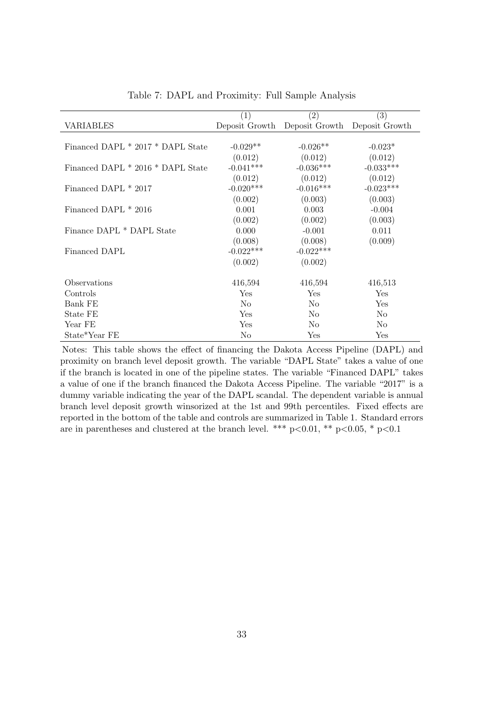<span id="page-33-0"></span>

|                                   | $\left( 1\right)$ | (2)                                          | $\left( 3\right)$ |
|-----------------------------------|-------------------|----------------------------------------------|-------------------|
| <b>VARIABLES</b>                  |                   | Deposit Growth Deposit Growth Deposit Growth |                   |
|                                   |                   |                                              |                   |
| Financed DAPL * 2017 * DAPL State | $-0.029**$        | $-0.026**$                                   | $-0.023*$         |
|                                   | (0.012)           | (0.012)                                      | (0.012)           |
| Financed DAPL * 2016 * DAPL State | $-0.041***$       | $-0.036***$                                  | $-0.033***$       |
|                                   | (0.012)           | (0.012)                                      | (0.012)           |
| Financed DAPL * 2017              | $-0.020***$       | $-0.016***$                                  | $-0.023***$       |
|                                   | (0.002)           | (0.003)                                      | (0.003)           |
| Financed DAPL * 2016              | 0.001             | 0.003                                        | $-0.004$          |
|                                   | (0.002)           | (0.002)                                      | (0.003)           |
| Finance DAPL * DAPL State         | 0.000             | $-0.001$                                     | 0.011             |
|                                   | (0.008)           | (0.008)                                      | (0.009)           |
| Financed DAPL                     | $-0.022***$       | $-0.022***$                                  |                   |
|                                   | (0.002)           | (0.002)                                      |                   |
| Observations                      | 416,594           | 416,594                                      | 416,513           |
| Controls                          | Yes               | Yes                                          | Yes               |
| Bank FE                           | N <sub>o</sub>    | N <sub>0</sub>                               | Yes               |
| State FE                          | Yes               | N <sub>o</sub>                               | No                |
| Year FE                           | Yes               | N <sub>o</sub>                               | N <sub>0</sub>    |
| State*Year FE                     | N <sub>o</sub>    | Yes                                          |                   |
|                                   |                   |                                              | Yes               |

Table 7: DAPL and Proximity: Full Sample Analysis

Notes: This table shows the effect of financing the Dakota Access Pipeline (DAPL) and proximity on branch level deposit growth. The variable "DAPL State" takes a value of one if the branch is located in one of the pipeline states. The variable "Financed DAPL" takes a value of one if the branch financed the Dakota Access Pipeline. The variable "2017" is a dummy variable indicating the year of the DAPL scandal. The dependent variable is annual branch level deposit growth winsorized at the 1st and 99th percentiles. Fixed effects are reported in the bottom of the table and controls are summarized in Table 1. Standard errors are in parentheses and clustered at the branch level. \*\*\*  $p<0.01$ , \*\*  $p<0.05$ , \*  $p<0.1$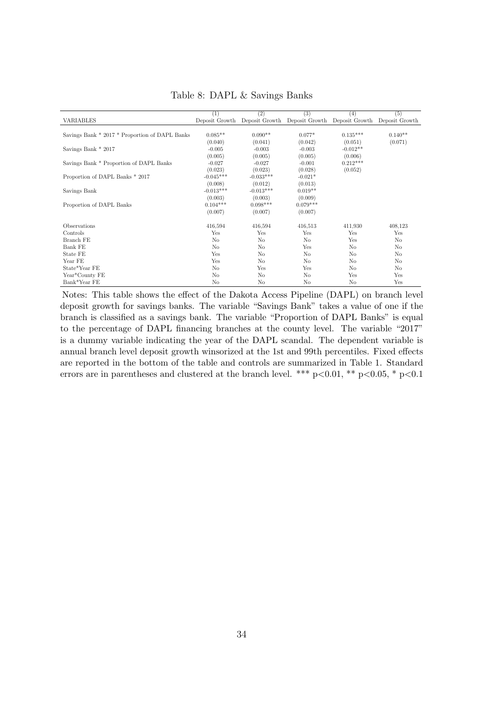<span id="page-34-0"></span>

|                                                | $\left(1\right)$ | (2)            | (3)                                          | (4)            | (5)            |
|------------------------------------------------|------------------|----------------|----------------------------------------------|----------------|----------------|
| <b>VARIABLES</b>                               | Deposit Growth   |                | Deposit Growth Deposit Growth Deposit Growth |                | Deposit Growth |
|                                                |                  |                |                                              |                |                |
| Savings Bank * 2017 * Proportion of DAPL Banks | $0.085**$        | $0.090**$      | $0.077*$                                     | $0.135***$     | $0.140**$      |
|                                                | (0.040)          | (0.041)        | (0.042)                                      | (0.051)        | (0.071)        |
| Savings Bank * 2017                            | $-0.005$         | $-0.003$       | $-0.003$                                     | $-0.012**$     |                |
|                                                | (0.005)          | (0.005)        | (0.005)                                      | (0.006)        |                |
| Savings Bank * Proportion of DAPL Banks        | $-0.027$         | $-0.027$       | $-0.001$                                     | $0.212***$     |                |
|                                                | (0.023)          | (0.023)        | (0.028)                                      | (0.052)        |                |
| Proportion of DAPL Banks * 2017                | $-0.045***$      | $-0.033***$    | $-0.021*$                                    |                |                |
|                                                | (0.008)          | (0.012)        | (0.013)                                      |                |                |
| Savings Bank                                   | $-0.013***$      | $-0.013***$    | $0.019**$                                    |                |                |
|                                                | (0.003)          | (0.003)        | (0.009)                                      |                |                |
| Proportion of DAPL Banks                       | $0.104***$       | $0.098***$     | $0.079***$                                   |                |                |
|                                                | (0.007)          | (0.007)        | (0.007)                                      |                |                |
| Observations                                   | 416,594          | 416,594        | 416,513                                      | 411,930        | 408,123        |
| Controls                                       | Yes              | Yes            | Yes                                          | Yes            | Yes            |
| Branch FE                                      | N <sub>o</sub>   | N <sub>o</sub> | N <sub>o</sub>                               | Yes            | No             |
| Bank FE                                        | N <sub>o</sub>   | N <sub>o</sub> | Yes                                          | N <sub>o</sub> | N <sub>o</sub> |
| State FE                                       | Yes              | No             | No                                           | No             | No             |
| Year FE                                        | Yes              | N <sub>o</sub> |                                              |                |                |
|                                                |                  |                | N <sub>o</sub>                               | No             | No             |
| State*Year FE                                  | No               | Yes            | Yes                                          | No             | No             |
| Year*County FE                                 | N <sub>o</sub>   | N <sub>o</sub> | N <sub>o</sub>                               | Yes            | Yes            |
| Bank*Year FE                                   | No               | No             | No                                           | No             | Yes            |

Table 8: DAPL & Savings Banks

Notes: This table shows the effect of the Dakota Access Pipeline (DAPL) on branch level deposit growth for savings banks. The variable "Savings Bank" takes a value of one if the branch is classified as a savings bank. The variable "Proportion of DAPL Banks" is equal to the percentage of DAPL financing branches at the county level. The variable "2017" is a dummy variable indicating the year of the DAPL scandal. The dependent variable is annual branch level deposit growth winsorized at the 1st and 99th percentiles. Fixed effects are reported in the bottom of the table and controls are summarized in Table 1. Standard errors are in parentheses and clustered at the branch level. \*\*\* p<0.01, \*\* p<0.05, \* p<0.1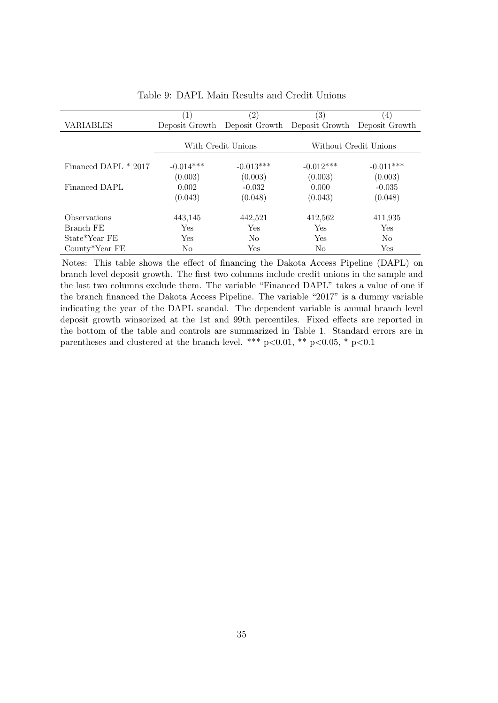<span id="page-35-0"></span>

|                        | $\left  \right $   | $\left( 2\right)$ | (3)                           | (4)                   |
|------------------------|--------------------|-------------------|-------------------------------|-----------------------|
| VARIABLES              | Deposit Growth     |                   | Deposit Growth Deposit Growth | Deposit Growth        |
|                        | With Credit Unions |                   |                               | Without Credit Unions |
| Financed DAPL $*$ 2017 | $-0.014***$        | $-0.013***$       | $-0.012***$                   | $-0.011***$           |
|                        | (0.003)            | (0.003)           | (0.003)                       | (0.003)               |
| Financed DAPL          | 0.002              | $-0.032$          | 0.000                         | $-0.035$              |
|                        | (0.043)            | (0.048)           | (0.043)                       | (0.048)               |
| Observations           | 443,145            | 442,521           | 412,562                       | 411,935               |
| Branch FE              | Yes                | Yes               | Yes                           | Yes                   |
| State*Year FE          | Yes                | N <sub>o</sub>    | Yes                           | N <sub>o</sub>        |
| $County*Year$ FE       | No                 | Yes               | No                            | Yes                   |

Table 9: DAPL Main Results and Credit Unions

Notes: This table shows the effect of financing the Dakota Access Pipeline (DAPL) on branch level deposit growth. The first two columns include credit unions in the sample and the last two columns exclude them. The variable "Financed DAPL" takes a value of one if the branch financed the Dakota Access Pipeline. The variable "2017" is a dummy variable indicating the year of the DAPL scandal. The dependent variable is annual branch level deposit growth winsorized at the 1st and 99th percentiles. Fixed effects are reported in the bottom of the table and controls are summarized in Table 1. Standard errors are in parentheses and clustered at the branch level. \*\*\*  $p<0.01$ , \*\*  $p<0.05$ , \*  $p<0.1$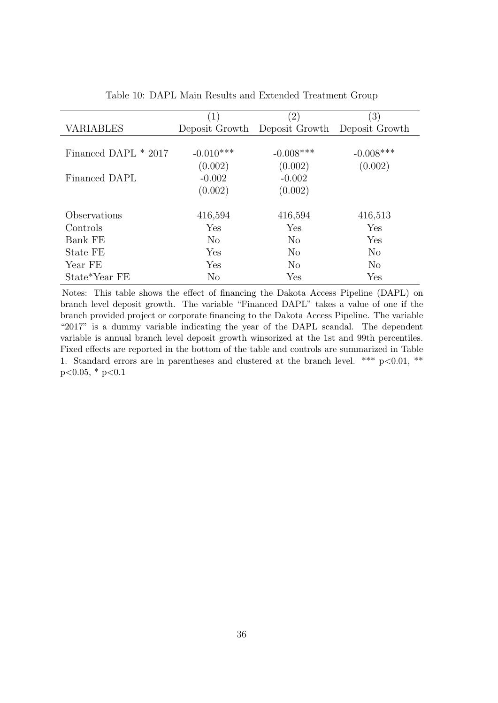<span id="page-36-0"></span>

|                      | $\left( 1\right)$ | $\left( 2\right)$             | $\left( 3\right)$ |
|----------------------|-------------------|-------------------------------|-------------------|
| <b>VARIABLES</b>     |                   | Deposit Growth Deposit Growth | Deposit Growth    |
|                      |                   |                               |                   |
| Financed DAPL * 2017 | $-0.010***$       | $-0.008***$                   | $-0.008***$       |
|                      | (0.002)           | (0.002)                       | (0.002)           |
| Financed DAPL        | $-0.002$          | $-0.002$                      |                   |
|                      | (0.002)           | (0.002)                       |                   |
|                      |                   |                               |                   |
| Observations         | 416,594           | 416,594                       | 416,513           |
| Controls             | Yes               | Yes                           | Yes               |
| Bank FE              | $\rm No$          | No                            | Yes               |
| State FE             | Yes               | N <sub>o</sub>                | $\rm No$          |
| Year FE              | Yes               | No                            | $\rm No$          |
| State*Year FE        | No                | Yes                           | Yes               |

Table 10: DAPL Main Results and Extended Treatment Group

Notes: This table shows the effect of financing the Dakota Access Pipeline (DAPL) on branch level deposit growth. The variable "Financed DAPL" takes a value of one if the branch provided project or corporate financing to the Dakota Access Pipeline. The variable "2017" is a dummy variable indicating the year of the DAPL scandal. The dependent variable is annual branch level deposit growth winsorized at the 1st and 99th percentiles. Fixed effects are reported in the bottom of the table and controls are summarized in Table 1. Standard errors are in parentheses and clustered at the branch level. \*\*\*  $p<0.01$ , \*\*  $p<0.05$ , \*  $p<0.1$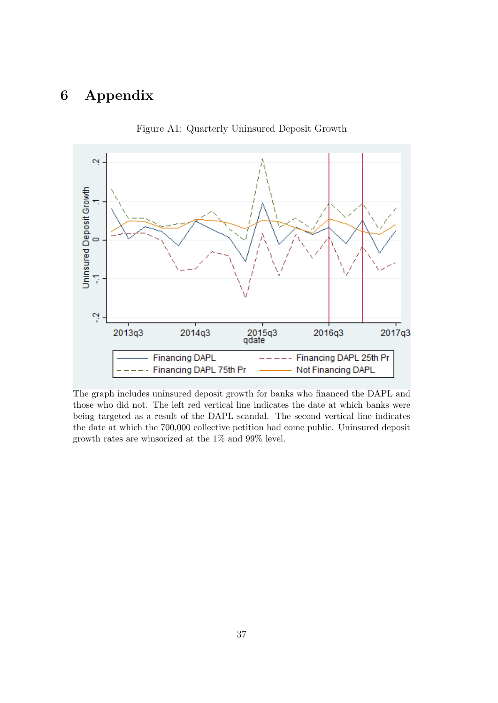# 6 Appendix

<span id="page-37-0"></span>

Figure A1: Quarterly Uninsured Deposit Growth

The graph includes uninsured deposit growth for banks who financed the DAPL and those who did not. The left red vertical line indicates the date at which banks were being targeted as a result of the DAPL scandal. The second vertical line indicates the date at which the 700,000 collective petition had come public. Uninsured deposit growth rates are winsorized at the 1% and 99% level.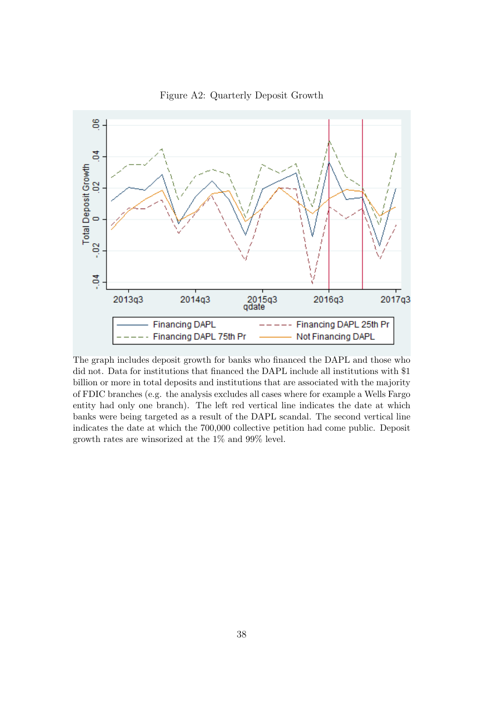<span id="page-38-0"></span>

Figure A2: Quarterly Deposit Growth

The graph includes deposit growth for banks who financed the DAPL and those who did not. Data for institutions that financed the DAPL include all institutions with \$1 billion or more in total deposits and institutions that are associated with the majority of FDIC branches (e.g. the analysis excludes all cases where for example a Wells Fargo entity had only one branch). The left red vertical line indicates the date at which banks were being targeted as a result of the DAPL scandal. The second vertical line indicates the date at which the 700,000 collective petition had come public. Deposit growth rates are winsorized at the 1% and 99% level.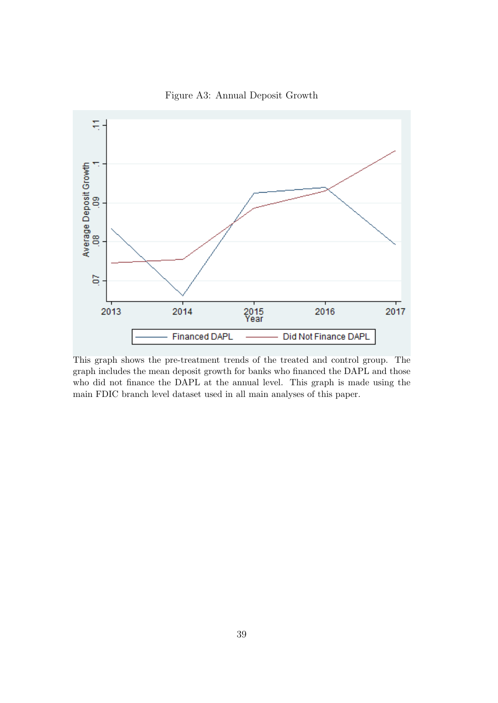<span id="page-39-0"></span>

Figure A3: Annual Deposit Growth

This graph shows the pre-treatment trends of the treated and control group. The graph includes the mean deposit growth for banks who financed the DAPL and those who did not finance the DAPL at the annual level. This graph is made using the main FDIC branch level dataset used in all main analyses of this paper.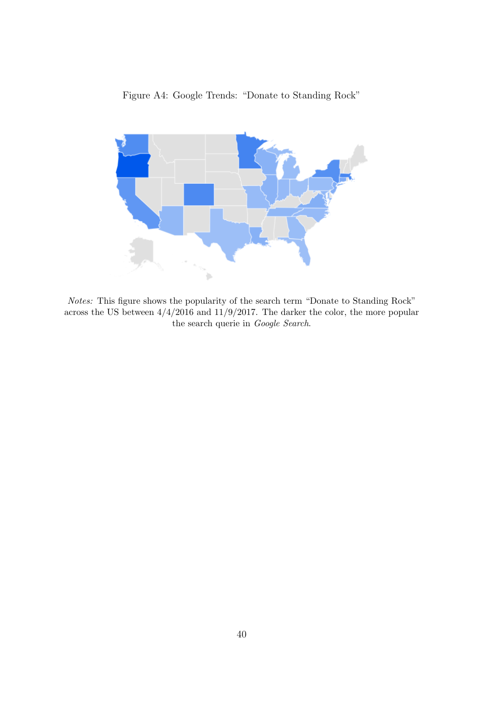<span id="page-40-0"></span>

Figure A4: Google Trends: "Donate to Standing Rock"

Notes: This figure shows the popularity of the search term "Donate to Standing Rock" across the US between  $4/4/2016$  and  $11/9/2017$ . The darker the color, the more popular the search querie in Google Search.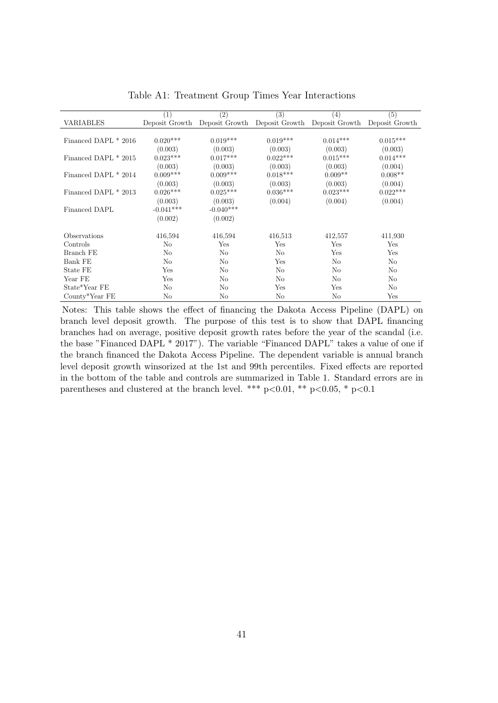<span id="page-41-0"></span>

|                      | (1)            | $\overline{(2)}$ | (3)                                          | $^{(4)}$       | $\overline{(5)}$ |
|----------------------|----------------|------------------|----------------------------------------------|----------------|------------------|
| <b>VARIABLES</b>     | Deposit Growth |                  | Deposit Growth Deposit Growth Deposit Growth |                | Deposit Growth   |
|                      |                |                  |                                              |                |                  |
| Financed DAPL * 2016 | $0.020***$     | $0.019***$       | $0.019***$                                   | $0.014***$     | $0.015***$       |
|                      | (0.003)        | (0.003)          | (0.003)                                      | (0.003)        | (0.003)          |
| Financed DAPL * 2015 | $0.023***$     | $0.017***$       | $0.022***$                                   | $0.015***$     | $0.014***$       |
|                      | (0.003)        | (0.003)          | (0.003)                                      | (0.003)        | (0.004)          |
| Financed DAPL * 2014 | $0.009***$     | $0.009***$       | $0.018***$                                   | $0.009**$      | $0.008**$        |
|                      | (0.003)        | (0.003)          | (0.003)                                      | (0.003)        | (0.004)          |
| Financed DAPL * 2013 | $0.026***$     | $0.025***$       | $0.036***$                                   | $0.023***$     | $0.022***$       |
|                      | (0.003)        | (0.003)          | (0.004)                                      | (0.004)        | (0.004)          |
| Financed DAPL        | $-0.041***$    | $-0.040***$      |                                              |                |                  |
|                      | (0.002)        | (0.002)          |                                              |                |                  |
| Observations         | 416,594        | 416,594          | 416,513                                      | 412,557        | 411,930          |
| Controls             | No             | Yes              | Yes                                          | Yes            | Yes              |
| <b>Branch FE</b>     | $\rm No$       | No               | $\rm No$                                     | Yes            | Yes              |
| Bank FE              | No             | $\rm No$         | Yes                                          | $\rm No$       | $\rm No$         |
| State FE             | Yes            | No               | $\rm No$                                     | No             | N <sub>o</sub>   |
| Year FE              | Yes            | No               | $\rm No$                                     | No             | No               |
| State*Year FE        | N <sub>o</sub> | No               | Yes                                          | Yes            | N <sub>o</sub>   |
| County*Year FE       | No             | N <sub>o</sub>   | No                                           | N <sub>o</sub> | Yes              |

Table A1: Treatment Group Times Year Interactions

Notes: This table shows the effect of financing the Dakota Access Pipeline (DAPL) on branch level deposit growth. The purpose of this test is to show that DAPL financing branches had on average, positive deposit growth rates before the year of the scandal (i.e. the base "Financed DAPL \* 2017"). The variable "Financed DAPL" takes a value of one if the branch financed the Dakota Access Pipeline. The dependent variable is annual branch level deposit growth winsorized at the 1st and 99th percentiles. Fixed effects are reported in the bottom of the table and controls are summarized in Table 1. Standard errors are in parentheses and clustered at the branch level. \*\*\*  $p<0.01$ , \*\*  $p<0.05$ , \*  $p<0.1$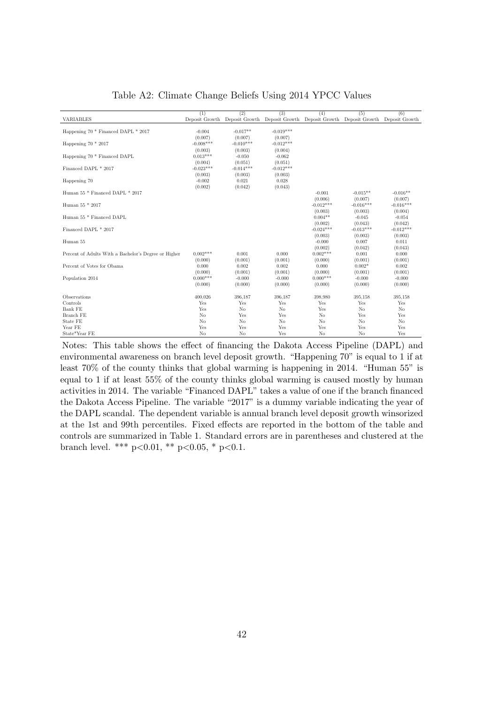<span id="page-42-0"></span>

|                                                      | (1)            | (2)         | (3)         | (4)                                                                                       | (5)            | (6)            |
|------------------------------------------------------|----------------|-------------|-------------|-------------------------------------------------------------------------------------------|----------------|----------------|
| VARIABLES                                            |                |             |             | Deposit Growth Deposit Growth Deposit Growth Deposit Growth Deposit Growth Deposit Growth |                |                |
|                                                      |                |             |             |                                                                                           |                |                |
| Happening 70 * Financed DAPL * 2017                  | $-0.004$       | $-0.017**$  | $-0.019***$ |                                                                                           |                |                |
|                                                      | (0.007)        | (0.007)     | (0.007)     |                                                                                           |                |                |
| Happening $70 * 2017$                                | $-0.008***$    | $-0.010***$ | $-0.012***$ |                                                                                           |                |                |
|                                                      | (0.003)        | (0.003)     | (0.004)     |                                                                                           |                |                |
| Happening 70 <sup>*</sup> Financed DAPL              | $0.013***$     | $-0.050$    | $-0.062$    |                                                                                           |                |                |
|                                                      | (0.004)        | (0.051)     | (0.051)     |                                                                                           |                |                |
| Financed DAPL * 2017                                 | $-0.023***$    | $-0.014***$ | $-0.012***$ |                                                                                           |                |                |
|                                                      | (0.003)        | (0.003)     | (0.003)     |                                                                                           |                |                |
| Happening 70                                         | $-0.002$       | 0.021       | 0.028       |                                                                                           |                |                |
|                                                      | (0.002)        | (0.042)     | (0.043)     |                                                                                           |                |                |
| Human 55 * Financed DAPL * 2017                      |                |             |             | $-0.001$                                                                                  | $-0.015**$     | $-0.016**$     |
|                                                      |                |             |             | (0.006)                                                                                   | (0.007)        | (0.007)        |
| Human 55 * 2017                                      |                |             |             | $-0.012***$                                                                               | $-0.016***$    | $-0.016***$    |
|                                                      |                |             |             | (0.003)                                                                                   | (0.003)        | (0.004)        |
| Human 55 * Financed DAPL                             |                |             |             | $0.004**$                                                                                 | $-0.045$       | $-0.054$       |
|                                                      |                |             |             | (0.002)                                                                                   | (0.043)        | (0.042)        |
| Financed DAPL * 2017                                 |                |             |             | $-0.024***$                                                                               | $-0.013***$    | $-0.012***$    |
|                                                      |                |             |             | (0.003)                                                                                   | (0.003)        | (0.003)        |
| Human 55                                             |                |             |             | $-0.000$                                                                                  | 0.007          | 0.011          |
|                                                      |                |             |             | (0.002)                                                                                   | (0.042)        | (0.043)        |
| Percent of Adults With a Bachelor's Degree or Higher | $0.002***$     | 0.001       | 0.000       | $0.002***$                                                                                | 0.001          | 0.000          |
|                                                      | (0.000)        | (0.001)     | (0.001)     | (0.000)                                                                                   | (0.001)        | (0.001)        |
| Percent of Votes for Obama                           | 0.000          | 0.002       | 0.002       | 0.000                                                                                     | $0.002*$       | 0.002          |
|                                                      | (0.000)        | (0.001)     | (0.001)     | (0.000)                                                                                   | (0.001)        | (0.001)        |
| Population 2014                                      | $0.000***$     | $-0.000$    | $-0.000$    | $0.000***$                                                                                | $-0.000$       | $-0.000$       |
|                                                      | (0.000)        | (0.000)     | (0.000)     | (0.000)                                                                                   | (0.000)        | (0.000)        |
|                                                      |                |             |             |                                                                                           |                |                |
| Observations                                         | 400.026        | 396,187     | 396,187     | 398,980                                                                                   | 395,158        | 395,158        |
| Controls                                             | Yes            | Yes         | Yes         | Yes                                                                                       | Yes            | Yes            |
| Bank FE                                              | Yes            | No          | No          | Yes                                                                                       | N <sub>o</sub> | N <sub>o</sub> |
| Branch FE                                            | No             | Yes         | Yes         | No                                                                                        | Yes            | Yes            |
| State FE                                             | N <sub>o</sub> | No          | No          | No                                                                                        | N <sub>o</sub> | N <sub>o</sub> |
| Year FE                                              | Yes            | Yes         | Yes         | Yes                                                                                       | Yes            | Yes            |
| State*Year FE                                        | No             | No          | Yes         | No                                                                                        | No             | Yes            |

Table A2: Climate Change Beliefs Using 2014 YPCC Values

Notes: This table shows the effect of financing the Dakota Access Pipeline (DAPL) and environmental awareness on branch level deposit growth. "Happening 70" is equal to 1 if at least 70% of the county thinks that global warming is happening in 2014. "Human 55" is equal to 1 if at least 55% of the county thinks global warming is caused mostly by human activities in 2014. The variable "Financed DAPL" takes a value of one if the branch financed the Dakota Access Pipeline. The variable "2017" is a dummy variable indicating the year of the DAPL scandal. The dependent variable is annual branch level deposit growth winsorized at the 1st and 99th percentiles. Fixed effects are reported in the bottom of the table and controls are summarized in Table 1. Standard errors are in parentheses and clustered at the branch level. \*\*\*  $p<0.01$ , \*\*  $p<0.05$ , \*  $p<0.1$ .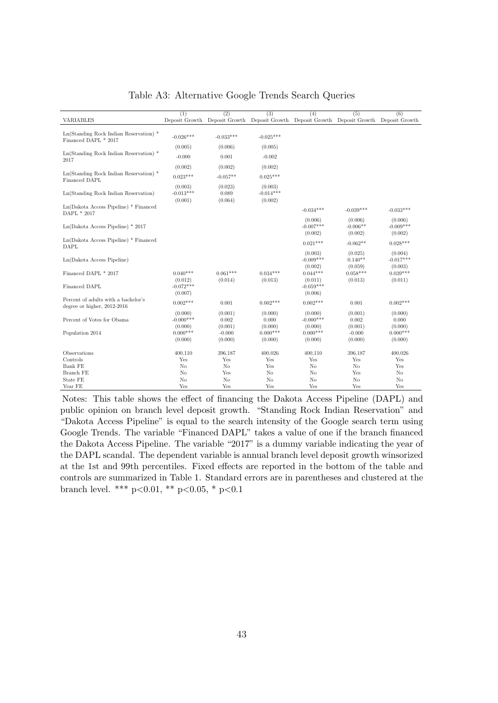<span id="page-43-0"></span>

|                                                                                | (1)                               | (2)                            | (3)                               | (4)                               | (5)                                                                                       | (6)                               |
|--------------------------------------------------------------------------------|-----------------------------------|--------------------------------|-----------------------------------|-----------------------------------|-------------------------------------------------------------------------------------------|-----------------------------------|
| VARIABLES                                                                      |                                   |                                |                                   |                                   | Deposit Growth Deposit Growth Deposit Growth Deposit Growth Deposit Growth Deposit Growth |                                   |
|                                                                                |                                   |                                |                                   |                                   |                                                                                           |                                   |
| $Ln(Standarding Rock Indian Reservation)$ <sup>*</sup><br>Financed DAPL * 2017 | $-0.026***$                       | $-0.033***$                    | $-0.025***$                       |                                   |                                                                                           |                                   |
|                                                                                | (0.005)                           | (0.006)                        | (0.005)                           |                                   |                                                                                           |                                   |
| $Ln(Standarding Rock Indian Reservation)$ <sup>*</sup><br>2017                 | $-0.000$                          | 0.001                          | $-0.002$                          |                                   |                                                                                           |                                   |
|                                                                                | (0.002)                           | (0.002)                        | (0.002)                           |                                   |                                                                                           |                                   |
| $Ln(Standarding Rock Indian Reservation)$ <sup>*</sup><br>Financed DAPL        | $0.023***$                        | $-0.057**$                     | $0.025***$                        |                                   |                                                                                           |                                   |
| Ln(Standing Rock Indian Reservation)                                           | (0.003)<br>$-0.013***$<br>(0.001) | (0.023)<br>0.089<br>(0.064)    | (0.003)<br>$-0.014***$<br>(0.002) |                                   |                                                                                           |                                   |
| $Ln(Dakota Access Pipeline) * Finance$<br>DAPL * 2017                          |                                   |                                |                                   | $-0.034***$                       | $-0.039***$                                                                               | $-0.033***$                       |
| $Ln(Dakota Access Pipeline) * 2017$                                            |                                   |                                |                                   | (0.006)<br>$-0.007***$<br>(0.002) | (0.006)<br>$-0.006**$<br>(0.002)                                                          | (0.006)<br>$-0.009***$<br>(0.002) |
| $Ln(Dakota Access Pipeline) * Finance$<br><b>DAPL</b>                          |                                   |                                |                                   | $0.021***$                        | $-0.062**$                                                                                | $0.028***$                        |
| Ln(Dakota Access Pipeline)                                                     |                                   |                                |                                   | (0.003)<br>$-0.009***$<br>(0.002) | (0.025)<br>$0.140**$<br>(0.059)                                                           | (0.004)<br>$-0.017***$<br>(0.003) |
| Financed DAPL * 2017                                                           | $0.040***$<br>(0.012)             | $0.061***$<br>(0.014)          | $0.034***$<br>(0.013)             | $0.044***$<br>(0.011)             | $0.058***$<br>(0.013)                                                                     | $0.039***$<br>(0.011)             |
| Financed DAPL                                                                  | $-0.072***$<br>(0.007)            |                                |                                   | $-0.059***$<br>(0.006)            |                                                                                           |                                   |
| Percent of adults with a bachelor's<br>degree or higher, 2012-2016             | $0.002***$                        | 0.001                          | $0.002***$                        | $0.002***$                        | 0.001                                                                                     | $0.002***$                        |
| Percent of Votes for Obama                                                     | (0.000)<br>$-0.000$ ***           | (0.001)<br>0.002               | (0.000)<br>0.000                  | (0.000)<br>$-0.000***$            | (0.001)<br>0.002                                                                          | (0.000)<br>0.000                  |
| Population 2014                                                                | (0.000)<br>$0.000***$<br>(0.000)  | (0.001)<br>$-0.000$<br>(0.000) | (0.000)<br>$0.000***$<br>(0.000)  | (0.000)<br>$0.000***$<br>(0.000)  | (0.001)<br>$-0.000$<br>(0.000)                                                            | (0.000)<br>$0.000***$<br>(0.000)  |
| Observations                                                                   | 400,110                           | 396,187                        | 400,026                           | 400,110                           | 396,187                                                                                   | 400,026                           |
| Controls                                                                       | Yes                               | Yes                            | Yes                               | Yes                               | Yes                                                                                       | Yes                               |
| Bank FE                                                                        | N <sub>o</sub>                    | N <sub>o</sub>                 | Yes                               | N <sub>o</sub>                    | N <sub>o</sub>                                                                            | Yes                               |
| Branch FE                                                                      | No                                | Yes                            | No                                | No                                | Yes                                                                                       | No                                |
| State FE                                                                       | N <sub>o</sub>                    | N <sub>o</sub>                 | N <sub>o</sub>                    | No                                | N <sub>o</sub>                                                                            | No                                |
| Year FE                                                                        | Yes                               | Yes                            | Yes                               | Yes                               | Yes                                                                                       | Yes                               |

Table A3: Alternative Google Trends Search Queries

Notes: This table shows the effect of financing the Dakota Access Pipeline (DAPL) and public opinion on branch level deposit growth. "Standing Rock Indian Reservation" and "Dakota Access Pipeline" is equal to the search intensity of the Google search term using Google Trends. The variable "Financed DAPL" takes a value of one if the branch financed the Dakota Access Pipeline. The variable "2017" is a dummy variable indicating the year of the DAPL scandal. The dependent variable is annual branch level deposit growth winsorized at the 1st and 99th percentiles. Fixed effects are reported in the bottom of the table and controls are summarized in Table 1. Standard errors are in parentheses and clustered at the branch level. \*\*\*  $p<0.01$ , \*\*  $p<0.05$ , \*  $p<0.1$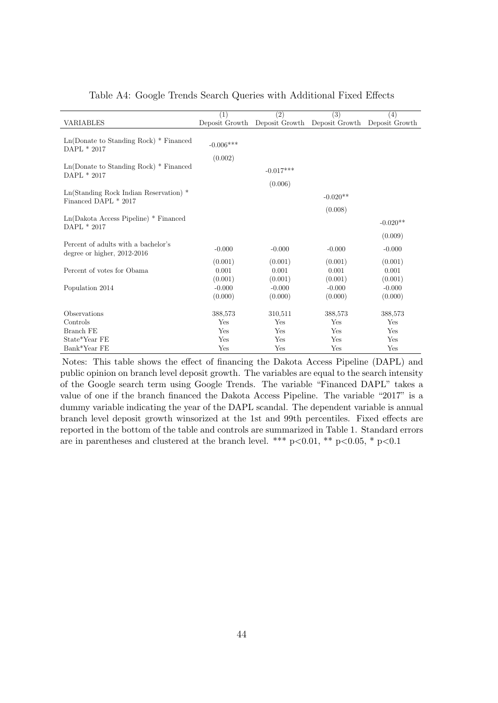<span id="page-44-0"></span>

|                                                        | (1)         | $\overline{(2)}$ | $\overline{(3)}$                             | (4)            |
|--------------------------------------------------------|-------------|------------------|----------------------------------------------|----------------|
| <b>VARIABLES</b>                                       |             |                  | Deposit Growth Deposit Growth Deposit Growth | Deposit Growth |
|                                                        |             |                  |                                              |                |
| $Ln(Donate to Standing Rock) * Finance$                | $-0.006***$ |                  |                                              |                |
| DAPL * 2017                                            |             |                  |                                              |                |
| $Ln(Donate to Standing Rock) * Finance$                | (0.002)     |                  |                                              |                |
| DAPL * 2017                                            |             | $-0.017***$      |                                              |                |
|                                                        |             | (0.006)          |                                              |                |
| $Ln(Standarding Rock Indian Reservation)$ <sup>*</sup> |             |                  |                                              |                |
| Financed DAPL * 2017                                   |             |                  | $-0.020**$                                   |                |
|                                                        |             |                  | (0.008)                                      |                |
| Ln(Dakota Access Pipeline) * Financed                  |             |                  |                                              | $-0.020**$     |
| DAPL * 2017                                            |             |                  |                                              | (0.009)        |
| Percent of adults with a bachelor's                    |             |                  |                                              |                |
| degree or higher, $2012-2016$                          | $-0.000$    | $-0.000$         | $-0.000$                                     | $-0.000$       |
|                                                        | (0.001)     | (0.001)          | (0.001)                                      | (0.001)        |
| Percent of votes for Obama                             | 0.001       | 0.001            | 0.001                                        | 0.001          |
|                                                        | (0.001)     | (0.001)          | (0.001)                                      | (0.001)        |
| Population 2014                                        | $-0.000$    | $-0.000$         | $-0.000$                                     | $-0.000$       |
|                                                        | (0.000)     | (0.000)          | (0.000)                                      | (0.000)        |
| Observations                                           | 388,573     | 310,511          | 388,573                                      | 388,573        |
| Controls                                               | Yes         | Yes              | Yes                                          | Yes            |
| Branch FE                                              | Yes         | Yes              | Yes                                          | Yes            |
| State*Year FE                                          | Yes         | Yes              | Yes                                          | Yes            |
| Bank*Year FE                                           | Yes         | Yes              | Yes                                          | Yes            |

### Table A4: Google Trends Search Queries with Additional Fixed Effects

Notes: This table shows the effect of financing the Dakota Access Pipeline (DAPL) and public opinion on branch level deposit growth. The variables are equal to the search intensity of the Google search term using Google Trends. The variable "Financed DAPL" takes a value of one if the branch financed the Dakota Access Pipeline. The variable "2017" is a dummy variable indicating the year of the DAPL scandal. The dependent variable is annual branch level deposit growth winsorized at the 1st and 99th percentiles. Fixed effects are reported in the bottom of the table and controls are summarized in Table 1. Standard errors are in parentheses and clustered at the branch level. \*\*\* p<0.01, \*\* p<0.05, \* p<0.1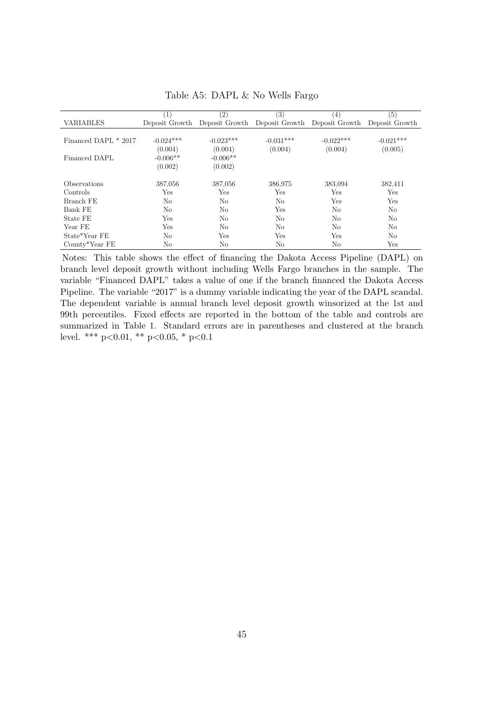<span id="page-45-0"></span>

|                      | $\left(1\right)$ | $\left( 2\right)$ | (3)                                          | $\left(4\right)$ | (5)            |
|----------------------|------------------|-------------------|----------------------------------------------|------------------|----------------|
| <b>VARIABLES</b>     | Deposit Growth   |                   | Deposit Growth Deposit Growth Deposit Growth |                  | Deposit Growth |
|                      |                  |                   |                                              |                  |                |
| Financed DAPL * 2017 | $-0.024***$      | $-0.023***$       | $-0.031***$                                  | $-0.022***$      | $-0.021***$    |
|                      | (0.004)          | (0.004)           | (0.004)                                      | (0.004)          | (0.005)        |
| Financed DAPL        | $-0.006**$       | $-0.006**$        |                                              |                  |                |
|                      | (0.002)          | (0.002)           |                                              |                  |                |
|                      |                  |                   |                                              |                  |                |
| Observations         | 387,056          | 387,056           | 386,975                                      | 383,094          | 382,411        |
| Controls             | Yes              | Yes               | Yes                                          | Yes              | Yes            |
| Branch FE            | N <sub>o</sub>   | No                | No                                           | Yes              | Yes            |
| Bank FE              | No               | No                | Yes                                          | No               | No             |
| State FE             | Yes              | No                | No                                           | No               | N <sub>o</sub> |
| Year FE              | Yes              | No                | No                                           | No               | No             |
| State*Year FE        | No               | Yes               | Yes                                          | Yes              | No.            |
| County*Year FE       | No               | No                | No                                           | No               | Yes            |
|                      |                  |                   |                                              |                  |                |

Table A5: DAPL & No Wells Fargo

Notes: This table shows the effect of financing the Dakota Access Pipeline (DAPL) on branch level deposit growth without including Wells Fargo branches in the sample. The variable "Financed DAPL" takes a value of one if the branch financed the Dakota Access Pipeline. The variable "2017" is a dummy variable indicating the year of the DAPL scandal. The dependent variable is annual branch level deposit growth winsorized at the 1st and 99th percentiles. Fixed effects are reported in the bottom of the table and controls are summarized in Table 1. Standard errors are in parentheses and clustered at the branch level. \*\*\* p<0.01, \*\* p<0.05, \* p<0.1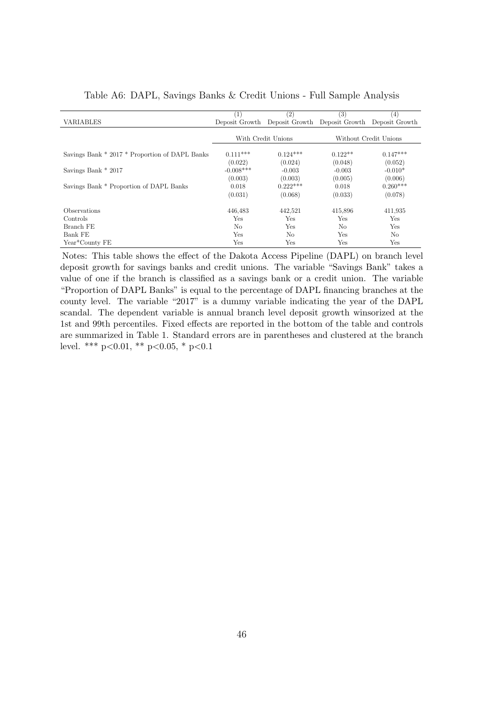|                                                | (1)            | (2)                | (3)                           | (4)                   |
|------------------------------------------------|----------------|--------------------|-------------------------------|-----------------------|
| <b>VARIABLES</b>                               | Deposit Growth |                    | Deposit Growth Deposit Growth | Deposit Growth        |
|                                                |                |                    |                               |                       |
|                                                |                | With Credit Unions |                               | Without Credit Unions |
| Savings Bank * 2017 * Proportion of DAPL Banks | $0.111***$     | $0.124***$         | $0.122**$                     | $0.147***$            |
|                                                | (0.022)        | (0.024)            | (0.048)                       | (0.052)               |
| Savings Bank * 2017                            | $-0.008***$    | $-0.003$           | $-0.003$                      | $-0.010*$             |
|                                                | (0.003)        | (0.003)            | (0.005)                       | (0.006)               |
| Savings Bank * Proportion of DAPL Banks        | 0.018          | $0.222***$         | 0.018                         | $0.260***$            |
|                                                | (0.031)        | (0.068)            | (0.033)                       | (0.078)               |
|                                                |                |                    |                               |                       |
| <i><b>Observations</b></i>                     | 446,483        | 442,521            | 415,896                       | 411,935               |
| Controls                                       | Yes            | Yes                | Yes                           | Yes                   |
| Branch FE                                      | N <sub>o</sub> | Yes                | No                            | Yes                   |
| Bank FE                                        | Yes            | N <sub>o</sub>     | Yes                           | N <sub>o</sub>        |
| Year*County FE                                 | Yes            | Yes                | Yes                           | Yes                   |

<span id="page-46-0"></span>Table A6: DAPL, Savings Banks & Credit Unions - Full Sample Analysis

Notes: This table shows the effect of the Dakota Access Pipeline (DAPL) on branch level deposit growth for savings banks and credit unions. The variable "Savings Bank" takes a value of one if the branch is classified as a savings bank or a credit union. The variable "Proportion of DAPL Banks" is equal to the percentage of DAPL financing branches at the county level. The variable "2017" is a dummy variable indicating the year of the DAPL scandal. The dependent variable is annual branch level deposit growth winsorized at the 1st and 99th percentiles. Fixed effects are reported in the bottom of the table and controls are summarized in Table 1. Standard errors are in parentheses and clustered at the branch level. \*\*\*  $p<0.01$ , \*\*  $p<0.05$ , \*  $p<0.1$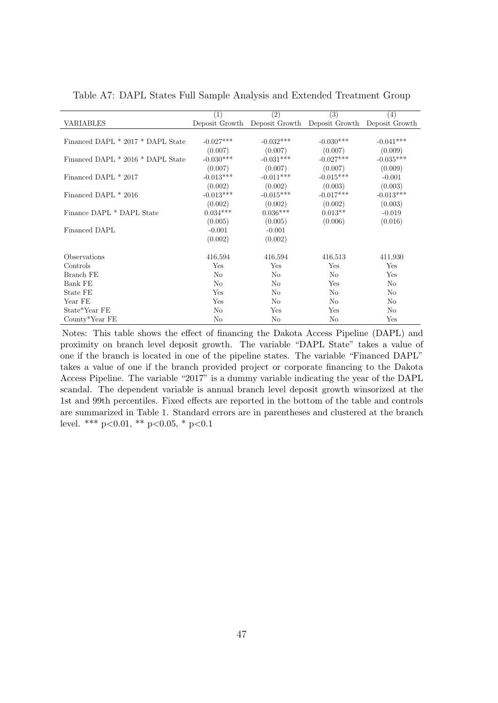|                                   | (1)         | $\left( 2\right)$                                           | (3)         | $\left( 4\right)$ |
|-----------------------------------|-------------|-------------------------------------------------------------|-------------|-------------------|
| VARIABLES                         |             | Deposit Growth Deposit Growth Deposit Growth Deposit Growth |             |                   |
|                                   |             |                                                             |             |                   |
| Financed DAPL * 2017 * DAPL State | $-0.027***$ | $-0.032***$                                                 | $-0.030***$ | $-0.041***$       |
|                                   | (0.007)     | (0.007)                                                     | (0.007)     | (0.009)           |
| Financed DAPL * 2016 * DAPL State | $-0.030***$ | $-0.031***$                                                 | $-0.027***$ | $-0.035***$       |
|                                   | (0.007)     | (0.007)                                                     | (0.007)     | (0.009)           |
| Financed DAPL * 2017              | $-0.013***$ | $-0.011***$                                                 | $-0.015***$ | $-0.001$          |
|                                   | (0.002)     | (0.002)                                                     | (0.003)     | (0.003)           |
| Financed DAPL * 2016              | $-0.013***$ | $-0.015***$                                                 | $-0.017***$ | $-0.013***$       |
|                                   | (0.002)     | (0.002)                                                     | (0.002)     | (0.003)           |
| Finance DAPL * DAPL State         | $0.034***$  | $0.036***$                                                  | $0.013**$   | $-0.019$          |
|                                   | (0.005)     | (0.005)                                                     | (0.006)     | (0.016)           |
| Financed DAPL                     | $-0.001$    | $-0.001$                                                    |             |                   |
|                                   | (0.002)     | (0.002)                                                     |             |                   |
| Observations                      | 416,594     | 416,594                                                     | 416,513     | 411,930           |
| Controls                          | Yes         | Yes                                                         | Yes         | Yes               |
| Branch FE                         | No          | N <sub>o</sub>                                              | No          | Yes               |
|                                   |             |                                                             |             |                   |
| Bank FE                           | No          | No                                                          | Yes         | No                |
| State FE                          | Yes         | No                                                          | No          | No                |
| Year FE                           | Yes         | No                                                          | No          | No                |
| State*Year FE                     | No          | Yes                                                         | Yes         | No                |
| County*Year FE                    | No          | No                                                          | No          | Yes               |

<span id="page-47-0"></span>Table A7: DAPL States Full Sample Analysis and Extended Treatment Group

Notes: This table shows the effect of financing the Dakota Access Pipeline (DAPL) and proximity on branch level deposit growth. The variable "DAPL State" takes a value of one if the branch is located in one of the pipeline states. The variable "Financed DAPL" takes a value of one if the branch provided project or corporate financing to the Dakota Access Pipeline. The variable "2017" is a dummy variable indicating the year of the DAPL scandal. The dependent variable is annual branch level deposit growth winsorized at the 1st and 99th percentiles. Fixed effects are reported in the bottom of the table and controls are summarized in Table 1. Standard errors are in parentheses and clustered at the branch level. \*\*\*  $p<0.01$ , \*\*  $p<0.05$ , \*  $p<0.1$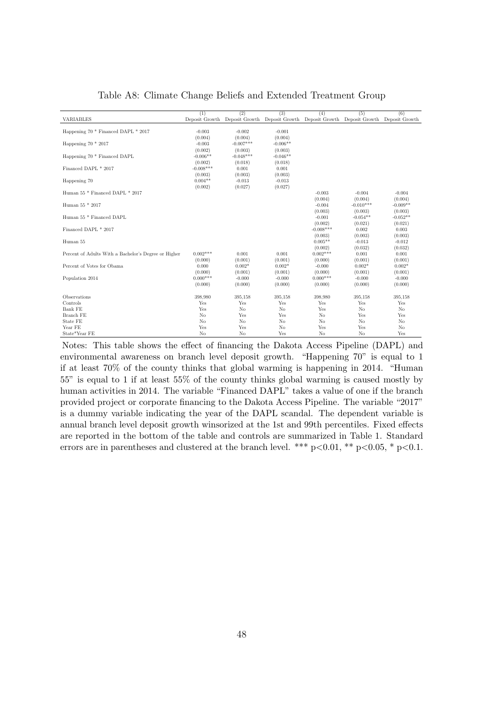<span id="page-48-0"></span>

|                                                      | (1)                   | (2)                 | (3)                 | (4)                                                                                       | (5)                 | (6)                 |
|------------------------------------------------------|-----------------------|---------------------|---------------------|-------------------------------------------------------------------------------------------|---------------------|---------------------|
| VARIABLES                                            |                       |                     |                     | Deposit Growth Deposit Growth Deposit Growth Deposit Growth Deposit Growth Deposit Growth |                     |                     |
|                                                      |                       |                     |                     |                                                                                           |                     |                     |
| Happening 70 * Financed DAPL * 2017                  | $-0.003$              | $-0.002$            | $-0.001$            |                                                                                           |                     |                     |
|                                                      | (0.004)               | (0.004)             | (0.004)             |                                                                                           |                     |                     |
| Happening $70 * 2017$                                | $-0.003$              | $-0.007***$         | $-0.006**$          |                                                                                           |                     |                     |
|                                                      | (0.002)               | (0.003)             | (0.003)             |                                                                                           |                     |                     |
| Happening 70 <sup>*</sup> Financed DAPL              | $-0.006**$            | $-0.048***$         | $-0.046**$          |                                                                                           |                     |                     |
|                                                      | (0.002)               | (0.018)             | (0.018)             |                                                                                           |                     |                     |
| Financed DAPL * 2017                                 | $-0.008***$           | 0.001               | 0.001               |                                                                                           |                     |                     |
|                                                      | (0.003)               | (0.003)             | (0.003)             |                                                                                           |                     |                     |
| Happening 70                                         | $0.004**$             | $-0.013$            | $-0.013$            |                                                                                           |                     |                     |
|                                                      | (0.002)               | (0.027)             | (0.027)             |                                                                                           |                     |                     |
| Human 55 * Financed DAPL * 2017                      |                       |                     |                     | $-0.003$                                                                                  | $-0.004$            | $-0.004$            |
|                                                      |                       |                     |                     | (0.004)                                                                                   | (0.004)             | (0.004)             |
| Human 55 * 2017                                      |                       |                     |                     | $-0.004$                                                                                  | $-0.010***$         | $-0.009**$          |
|                                                      |                       |                     |                     | (0.003)                                                                                   | (0.003)             | (0.003)             |
| Human 55 * Financed DAPL                             |                       |                     |                     | $-0.001$                                                                                  | $-0.054**$          | $-0.052**$          |
|                                                      |                       |                     |                     | (0.002)<br>$-0.008***$                                                                    | (0.021)             | (0.021)             |
| Financed DAPL * 2017                                 |                       |                     |                     |                                                                                           | 0.002               | 0.003               |
|                                                      |                       |                     |                     | (0.003)                                                                                   | (0.003)             | (0.003)             |
| Human 55                                             |                       |                     |                     | $0.005**$                                                                                 | $-0.013$            | $-0.012$            |
|                                                      | $0.002***$            | 0.001               | 0.001               | (0.002)<br>$0.002***$                                                                     | (0.032)             | (0.032)             |
| Percent of Adults With a Bachelor's Degree or Higher |                       |                     |                     |                                                                                           | 0.001               | 0.001               |
| Percent of Votes for Obama                           | (0.000)               | (0.001)<br>$0.002*$ | (0.001)<br>$0.002*$ | (0.000)<br>$-0.000$                                                                       | (0.001)<br>$0.002*$ | (0.001)<br>$0.002*$ |
|                                                      | 0.000                 |                     |                     |                                                                                           |                     |                     |
| Population 2014                                      | (0.000)<br>$0.000***$ | (0.001)<br>$-0.000$ | (0.001)<br>$-0.000$ | (0.000)<br>$0.000***$                                                                     | (0.001)<br>$-0.000$ | (0.001)<br>$-0.000$ |
|                                                      | (0.000)               | (0.000)             | (0.000)             | (0.000)                                                                                   | (0.000)             |                     |
|                                                      |                       |                     |                     |                                                                                           |                     | (0.000)             |
| Observations                                         | 398.980               | 395,158             | 395,158             | 398,980                                                                                   | 395,158             | 395,158             |
| Controls                                             | Yes                   | Yes                 | Yes                 | Yes                                                                                       | Yes                 | Yes                 |
| Bank FE                                              | Yes                   | N <sub>o</sub>      | No                  | Yes                                                                                       | N <sub>o</sub>      | N <sub>o</sub>      |
| Branch FE                                            | No                    | Yes                 | Yes                 | No                                                                                        | Yes                 | Yes                 |
| State FE                                             | N <sub>o</sub>        | N <sub>o</sub>      | No                  | N <sub>o</sub>                                                                            | N <sub>o</sub>      | N <sub>o</sub>      |
| Year FE                                              | Yes                   | Yes                 | No                  | Yes                                                                                       | Yes                 | No                  |
| State*Year FE                                        | No                    | No                  | Yes                 | No                                                                                        | No                  | Yes                 |

Table A8: Climate Change Beliefs and Extended Treatment Group

Notes: This table shows the effect of financing the Dakota Access Pipeline (DAPL) and environmental awareness on branch level deposit growth. "Happening 70" is equal to 1 if at least 70% of the county thinks that global warming is happening in 2014. "Human 55" is equal to 1 if at least 55% of the county thinks global warming is caused mostly by human activities in 2014. The variable "Financed DAPL" takes a value of one if the branch provided project or corporate financing to the Dakota Access Pipeline. The variable "2017" is a dummy variable indicating the year of the DAPL scandal. The dependent variable is annual branch level deposit growth winsorized at the 1st and 99th percentiles. Fixed effects are reported in the bottom of the table and controls are summarized in Table 1. Standard errors are in parentheses and clustered at the branch level. \*\*\*  $p<0.01$ , \*\*  $p<0.05$ , \*  $p<0.1$ .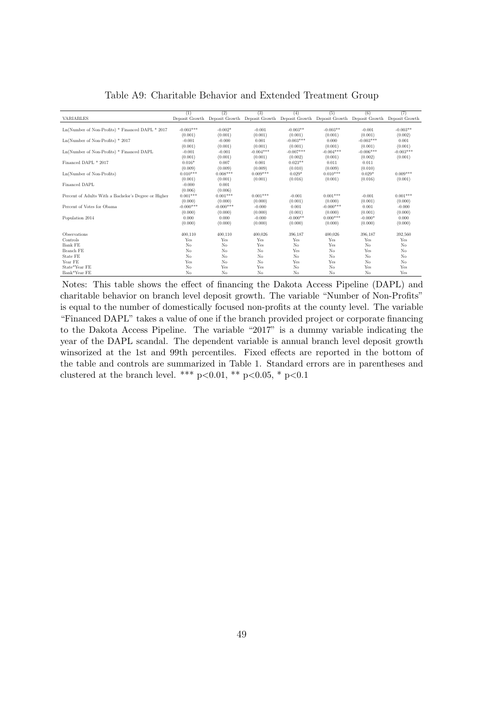<span id="page-49-0"></span>

|                                                      | (1)            | (2)            | (3)                           | (4)            | (5)            | (6)            | (7)            |
|------------------------------------------------------|----------------|----------------|-------------------------------|----------------|----------------|----------------|----------------|
| VARIABLES                                            | Deposit Growth |                | Deposit Growth Deposit Growth | Deposit Growth | Deposit Growth | Deposit Growth | Deposit Growth |
| Ln(Number of Non-Profits) * Financed DAPL * 2017     | $-0.003***$    | $-0.002*$      | $-0.001$                      | $-0.003**$     | $-0.003**$     | $-0.001$       | $-0.003**$     |
|                                                      |                |                |                               |                |                |                |                |
|                                                      | (0.001)        | (0.001)        | (0.001)                       | (0.001)        | (0.001)        | (0.001)        | (0.002)        |
| $Ln(Number$ of Non-Profits) $*$ 2017                 | $-0.001$       | $-0.000$       | 0.001                         | $-0.003***$    | 0.000          | $-0.003***$    | 0.001          |
|                                                      | (0.001)        | (0.001)        | (0.001)                       | (0.001)        | (0.001)        | (0.001)        | (0.001)        |
| Ln(Number of Non-Profits) * Financed DAPL            | $-0.001$       | $-0.001$       | $-0.004***$                   | $-0.007***$    | $-0.004***$    | $-0.006***$    | $-0.003***$    |
|                                                      | (0.001)        | (0.001)        | (0.001)                       | (0.002)        | (0.001)        | (0.002)        | (0.001)        |
| Financed DAPL * 2017                                 | $0.016*$       | 0.007          | 0.001                         | $0.023**$      | 0.011          | 0.011          |                |
|                                                      | (0.009)        | (0.009)        | (0.009)                       | (0.010)        | (0.009)        | (0.010)        |                |
| Ln(Number of Non-Profits)                            | $0.010***$     | $0.008***$     | $0.009***$                    | $0.029*$       | $0.010***$     | $0.029*$       | $0.009***$     |
|                                                      | (0.001)        | (0.001)        | (0.001)                       | (0.016)        | (0.001)        | (0.016)        | (0.001)        |
| Financed DAPL                                        | $-0.000$       | 0.001          |                               |                |                |                |                |
|                                                      | (0.006)        | (0.006)        |                               |                |                |                |                |
| Percent of Adults With a Bachelor's Degree or Higher | $0.001***$     | $0.001***$     | $0.001***$                    | $-0.001$       | $0.001***$     | $-0.001$       | $0.001***$     |
|                                                      | (0.000)        | (0.000)        | (0.000)                       | (0.001)        | (0.000)        | (0.001)        | (0.000)        |
| Percent of Votes for Obama                           | $-0.000***$    | $-0.000***$    | $-0.000$                      | 0.001          | $-0.000***$    | 0.001          | $-0.000$       |
|                                                      | (0.000)        | (0.000)        | (0.000)                       | (0.001)        | (0.000)        | (0.001)        | (0.000)        |
| Population 2014                                      | 0.000          | 0.000          | $-0.000$                      | $-0.000**$     | $0.000***$     | $-0.000*$      | 0.000          |
|                                                      | (0.000)        | (0.000)        | (0.000)                       | (0.000)        | (0.000)        | (0.000)        | (0.000)        |
|                                                      |                |                |                               |                |                |                |                |
| Observations                                         | 400,110        | 400,110        | 400,026                       | 396,187        | 400,026        | 396,187        | 392,560        |
| Controls                                             | Yes            | Yes            | Yes                           | Yes            | Yes            | Yes            | Yes            |
| Bank FE                                              | No             | No             | Yes                           | No             | Yes            | N <sub>o</sub> | No             |
| Branch FE                                            | No             | No             | N <sub>o</sub>                | Yes            | No             | Yes            | No             |
| State FE                                             | No             | N <sub>o</sub> | No.                           | No             | No             | N <sub>o</sub> | No             |
| Year FE                                              | Yes            | No             | No                            | Yes            | Yes            | No             | No             |
| State*Year FE                                        | No             | Yes            | Yes                           | No             | No             | Yes            | Yes            |
| Bank*Year FE                                         | No             | No             | No.                           | No             | No             | N <sub>o</sub> | Yes            |

Table A9: Charitable Behavior and Extended Treatment Group

Notes: This table shows the effect of financing the Dakota Access Pipeline (DAPL) and charitable behavior on branch level deposit growth. The variable "Number of Non-Profits" is equal to the number of domestically focused non-profits at the county level. The variable "Financed DAPL" takes a value of one if the branch provided project or corporate financing to the Dakota Access Pipeline. The variable "2017" is a dummy variable indicating the year of the DAPL scandal. The dependent variable is annual branch level deposit growth winsorized at the 1st and 99th percentiles. Fixed effects are reported in the bottom of the table and controls are summarized in Table 1. Standard errors are in parentheses and clustered at the branch level. \*\*\* p<0.01, \*\* p<0.05, \* p<0.1